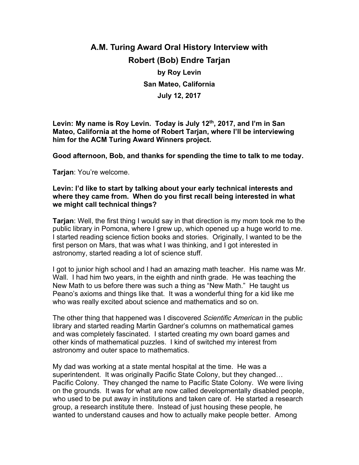# **A.M. Turing Award Oral History Interview with Robert (Bob) Endre Tarjan by Roy Levin San Mateo, California July 12, 2017**

**Levin: My name is Roy Levin. Today is July 12th, 2017, and I'm in San Mateo, California at the home of Robert Tarjan, where I'll be interviewing him for the ACM Turing Award Winners project.**

**Good afternoon, Bob, and thanks for spending the time to talk to me today.**

**Tarjan**: You're welcome.

### **Levin: I'd like to start by talking about your early technical interests and where they came from. When do you first recall being interested in what we might call technical things?**

**Tarjan**: Well, the first thing I would say in that direction is my mom took me to the public library in Pomona, where I grew up, which opened up a huge world to me. I started reading science fiction books and stories. Originally, I wanted to be the first person on Mars, that was what I was thinking, and I got interested in astronomy, started reading a lot of science stuff.

I got to junior high school and I had an amazing math teacher. His name was Mr. Wall. I had him two years, in the eighth and ninth grade. He was teaching the New Math to us before there was such a thing as "New Math." He taught us Peano's axioms and things like that. It was a wonderful thing for a kid like me who was really excited about science and mathematics and so on.

The other thing that happened was I discovered *Scientific American* in the public library and started reading Martin Gardner's columns on mathematical games and was completely fascinated. I started creating my own board games and other kinds of mathematical puzzles. I kind of switched my interest from astronomy and outer space to mathematics.

My dad was working at a state mental hospital at the time. He was a superintendent. It was originally Pacific State Colony, but they changed… Pacific Colony. They changed the name to Pacific State Colony. We were living on the grounds. It was for what are now called developmentally disabled people, who used to be put away in institutions and taken care of. He started a research group, a research institute there. Instead of just housing these people, he wanted to understand causes and how to actually make people better. Among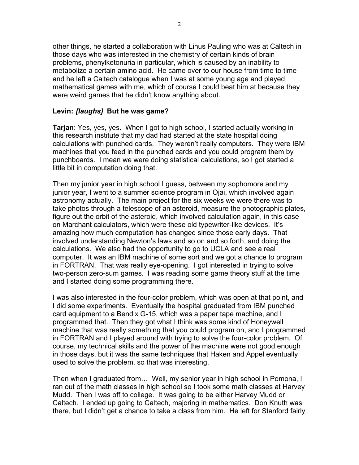other things, he started a collaboration with Linus Pauling who was at Caltech in those days who was interested in the chemistry of certain kinds of brain problems, phenylketonuria in particular, which is caused by an inability to metabolize a certain amino acid. He came over to our house from time to time and he left a Caltech catalogue when I was at some young age and played mathematical games with me, which of course I could beat him at because they were weird games that he didn't know anything about.

### **Levin:** *[laughs]* **But he was game?**

**Tarjan**: Yes, yes, yes. When I got to high school, I started actually working in this research institute that my dad had started at the state hospital doing calculations with punched cards. They weren't really computers. They were IBM machines that you feed in the punched cards and you could program them by punchboards. I mean we were doing statistical calculations, so I got started a little bit in computation doing that.

Then my junior year in high school I guess, between my sophomore and my junior year, I went to a summer science program in Ojai, which involved again astronomy actually. The main project for the six weeks we were there was to take photos through a telescope of an asteroid, measure the photographic plates, figure out the orbit of the asteroid, which involved calculation again, in this case on Marchant calculators, which were these old typewriter-like devices. It's amazing how much computation has changed since those early days. That involved understanding Newton's laws and so on and so forth, and doing the calculations. We also had the opportunity to go to UCLA and see a real computer. It was an IBM machine of some sort and we got a chance to program in FORTRAN. That was really eye-opening. I got interested in trying to solve two-person zero-sum games. I was reading some game theory stuff at the time and I started doing some programming there.

I was also interested in the four-color problem, which was open at that point, and I did some experiments. Eventually the hospital graduated from IBM punched card equipment to a Bendix G-15, which was a paper tape machine, and I programmed that. Then they got what I think was some kind of Honeywell machine that was really something that you could program on, and I programmed in FORTRAN and I played around with trying to solve the four-color problem. Of course, my technical skills and the power of the machine were not good enough in those days, but it was the same techniques that Haken and Appel eventually used to solve the problem, so that was interesting.

Then when I graduated from… Well, my senior year in high school in Pomona, I ran out of the math classes in high school so I took some math classes at Harvey Mudd. Then I was off to college. It was going to be either Harvey Mudd or Caltech. I ended up going to Caltech, majoring in mathematics. Don Knuth was there, but I didn't get a chance to take a class from him. He left for Stanford fairly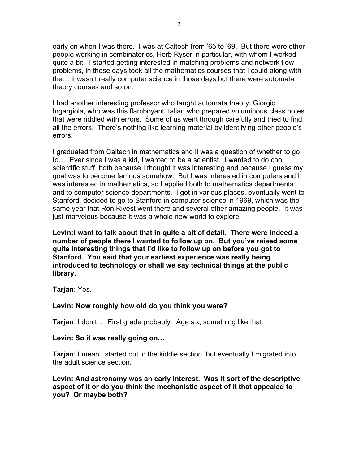early on when I was there. I was at Caltech from '65 to '69. But there were other people working in combinatorics, Herb Ryser in particular, with whom I worked quite a bit. I started getting interested in matching problems and network flow problems, in those days took all the mathematics courses that I could along with the… it wasn't really computer science in those days but there were automata theory courses and so on.

I had another interesting professor who taught automata theory, Giorgio Ingargiola, who was this flamboyant Italian who prepared voluminous class notes that were riddled with errors. Some of us went through carefully and tried to find all the errors. There's nothing like learning material by identifying other people's errors.

I graduated from Caltech in mathematics and it was a question of whether to go to… Ever since I was a kid, I wanted to be a scientist. I wanted to do cool scientific stuff, both because I thought it was interesting and because I guess my goal was to become famous somehow. But I was interested in computers and I was interested in mathematics, so I applied both to mathematics departments and to computer science departments. I got in various places, eventually went to Stanford, decided to go to Stanford in computer science in 1969, which was the same year that Ron Rivest went there and several other amazing people. It was just marvelous because it was a whole new world to explore.

**Levin:I want to talk about that in quite a bit of detail. There were indeed a number of people there I wanted to follow up on. But you've raised some quite interesting things that I'd like to follow up on before you got to Stanford. You said that your earliest experience was really being introduced to technology or shall we say technical things at the public library.**

**Tarjan**: Yes.

#### **Levin: Now roughly how old do you think you were?**

**Tarjan**: I don't… First grade probably. Age six, something like that.

**Levin: So it was really going on…**

**Tarjan**: I mean I started out in the kiddie section, but eventually I migrated into the adult science section.

**Levin: And astronomy was an early interest. Was it sort of the descriptive aspect of it or do you think the mechanistic aspect of it that appealed to you? Or maybe both?**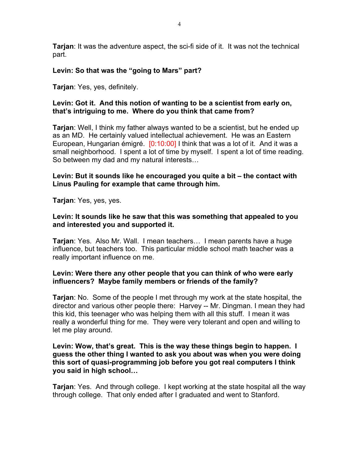**Tarjan**: It was the adventure aspect, the sci-fi side of it. It was not the technical part.

# **Levin: So that was the "going to Mars" part?**

**Tarjan**: Yes, yes, definitely.

# **Levin: Got it. And this notion of wanting to be a scientist from early on, that's intriguing to me. Where do you think that came from?**

**Tarjan**: Well, I think my father always wanted to be a scientist, but he ended up as an MD. He certainly valued intellectual achievement. He was an Eastern European, Hungarian émigré. [0:10:00] I think that was a lot of it. And it was a small neighborhood. I spent a lot of time by myself. I spent a lot of time reading. So between my dad and my natural interests…

# **Levin: But it sounds like he encouraged you quite a bit – the contact with Linus Pauling for example that came through him.**

**Tarjan**: Yes, yes, yes.

# **Levin: It sounds like he saw that this was something that appealed to you and interested you and supported it.**

**Tarjan**: Yes. Also Mr. Wall. I mean teachers… I mean parents have a huge influence, but teachers too. This particular middle school math teacher was a really important influence on me.

# **Levin: Were there any other people that you can think of who were early influencers? Maybe family members or friends of the family?**

**Tarjan**: No. Some of the people I met through my work at the state hospital, the director and various other people there: Harvey -- Mr. Dingman. I mean they had this kid, this teenager who was helping them with all this stuff. I mean it was really a wonderful thing for me. They were very tolerant and open and willing to let me play around.

**Levin: Wow, that's great. This is the way these things begin to happen. I guess the other thing I wanted to ask you about was when you were doing this sort of quasi-programming job before you got real computers I think you said in high school…**

**Tarjan**: Yes. And through college. I kept working at the state hospital all the way through college. That only ended after I graduated and went to Stanford.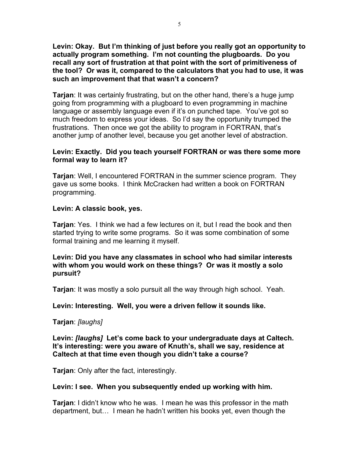**Levin: Okay. But I'm thinking of just before you really got an opportunity to actually program something. I'm not counting the plugboards. Do you recall any sort of frustration at that point with the sort of primitiveness of the tool? Or was it, compared to the calculators that you had to use, it was such an improvement that that wasn't a concern?**

**Tarjan**: It was certainly frustrating, but on the other hand, there's a huge jump going from programming with a plugboard to even programming in machine language or assembly language even if it's on punched tape. You've got so much freedom to express your ideas. So I'd say the opportunity trumped the frustrations. Then once we got the ability to program in FORTRAN, that's another jump of another level, because you get another level of abstraction.

# **Levin: Exactly. Did you teach yourself FORTRAN or was there some more formal way to learn it?**

**Tarjan**: Well, I encountered FORTRAN in the summer science program. They gave us some books. I think McCracken had written a book on FORTRAN programming.

# **Levin: A classic book, yes.**

**Tarjan**: Yes. I think we had a few lectures on it, but I read the book and then started trying to write some programs. So it was some combination of some formal training and me learning it myself.

# **Levin: Did you have any classmates in school who had similar interests with whom you would work on these things? Or was it mostly a solo pursuit?**

**Tarjan**: It was mostly a solo pursuit all the way through high school. Yeah.

**Levin: Interesting. Well, you were a driven fellow it sounds like.**

**Tarjan**: *[laughs]*

**Levin:** *[laughs]* **Let's come back to your undergraduate days at Caltech. It's interesting: were you aware of Knuth's, shall we say, residence at Caltech at that time even though you didn't take a course?**

**Tarjan**: Only after the fact, interestingly.

# **Levin: I see. When you subsequently ended up working with him.**

**Tarjan**: I didn't know who he was. I mean he was this professor in the math department, but… I mean he hadn't written his books yet, even though the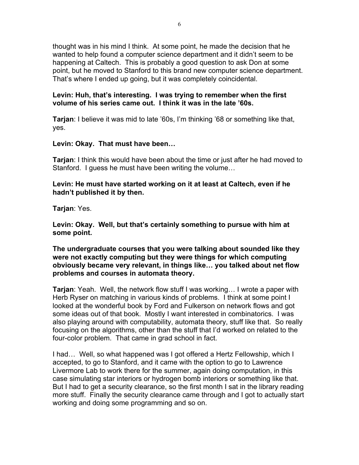thought was in his mind I think. At some point, he made the decision that he wanted to help found a computer science department and it didn't seem to be happening at Caltech. This is probably a good question to ask Don at some point, but he moved to Stanford to this brand new computer science department. That's where I ended up going, but it was completely coincidental.

# **Levin: Huh, that's interesting. I was trying to remember when the first volume of his series came out. I think it was in the late '60s.**

**Tarjan**: I believe it was mid to late '60s, I'm thinking '68 or something like that, yes.

**Levin: Okay. That must have been…**

**Tarjan**: I think this would have been about the time or just after he had moved to Stanford. I guess he must have been writing the volume…

# **Levin: He must have started working on it at least at Caltech, even if he hadn't published it by then.**

**Tarjan**: Yes.

**Levin: Okay. Well, but that's certainly something to pursue with him at some point.**

**The undergraduate courses that you were talking about sounded like they were not exactly computing but they were things for which computing obviously became very relevant, in things like… you talked about net flow problems and courses in automata theory.**

**Tarjan**: Yeah. Well, the network flow stuff I was working… I wrote a paper with Herb Ryser on matching in various kinds of problems. I think at some point I looked at the wonderful book by Ford and Fulkerson on network flows and got some ideas out of that book. Mostly I want interested in combinatorics. I was also playing around with computability, automata theory, stuff like that. So really focusing on the algorithms, other than the stuff that I'd worked on related to the four-color problem. That came in grad school in fact.

I had… Well, so what happened was I got offered a Hertz Fellowship, which I accepted, to go to Stanford, and it came with the option to go to Lawrence Livermore Lab to work there for the summer, again doing computation, in this case simulating star interiors or hydrogen bomb interiors or something like that. But I had to get a security clearance, so the first month I sat in the library reading more stuff. Finally the security clearance came through and I got to actually start working and doing some programming and so on.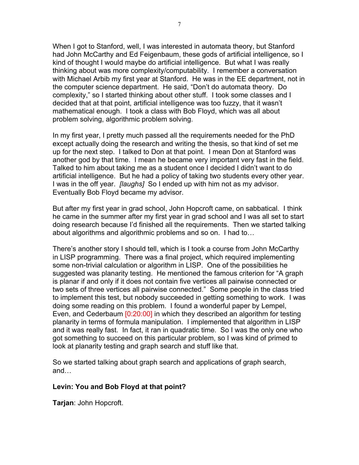When I got to Stanford, well, I was interested in automata theory, but Stanford had John McCarthy and Ed Feigenbaum, these gods of artificial intelligence, so I kind of thought I would maybe do artificial intelligence. But what I was really thinking about was more complexity/computability. I remember a conversation with Michael Arbib my first year at Stanford. He was in the EE department, not in the computer science department. He said, "Don't do automata theory. Do complexity," so I started thinking about other stuff. I took some classes and I decided that at that point, artificial intelligence was too fuzzy, that it wasn't mathematical enough. I took a class with Bob Floyd, which was all about problem solving, algorithmic problem solving.

In my first year, I pretty much passed all the requirements needed for the PhD except actually doing the research and writing the thesis, so that kind of set me up for the next step. I talked to Don at that point. I mean Don at Stanford was another god by that time. I mean he became very important very fast in the field. Talked to him about taking me as a student once I decided I didn't want to do artificial intelligence. But he had a policy of taking two students every other year. I was in the off year. *[laughs]* So I ended up with him not as my advisor. Eventually Bob Floyd became my advisor.

But after my first year in grad school, John Hopcroft came, on sabbatical. I think he came in the summer after my first year in grad school and I was all set to start doing research because I'd finished all the requirements. Then we started talking about algorithms and algorithmic problems and so on. I had to…

There's another story I should tell, which is I took a course from John McCarthy in LISP programming. There was a final project, which required implementing some non-trivial calculation or algorithm in LISP. One of the possibilities he suggested was planarity testing. He mentioned the famous criterion for "A graph is planar if and only if it does not contain five vertices all pairwise connected or two sets of three vertices all pairwise connected." Some people in the class tried to implement this test, but nobody succeeded in getting something to work. I was doing some reading on this problem. I found a wonderful paper by Lempel, Even, and Cederbaum [0:20:00] in which they described an algorithm for testing planarity in terms of formula manipulation. I implemented that algorithm in LISP and it was really fast. In fact, it ran in quadratic time. So I was the only one who got something to succeed on this particular problem, so I was kind of primed to look at planarity testing and graph search and stuff like that.

So we started talking about graph search and applications of graph search, and…

# **Levin: You and Bob Floyd at that point?**

**Tarjan**: John Hopcroft.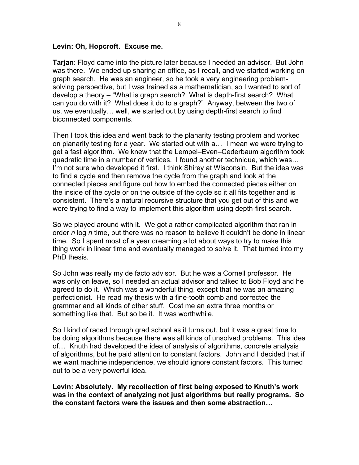#### **Levin: Oh, Hopcroft. Excuse me.**

**Tarjan**: Floyd came into the picture later because I needed an advisor. But John was there. We ended up sharing an office, as I recall, and we started working on graph search. He was an engineer, so he took a very engineering problemsolving perspective, but I was trained as a mathematician, so I wanted to sort of develop a theory – "What is graph search? What is depth-first search? What can you do with it? What does it do to a graph?" Anyway, between the two of us, we eventually… well, we started out by using depth-first search to find biconnected components.

Then I took this idea and went back to the planarity testing problem and worked on planarity testing for a year. We started out with a… I mean we were trying to get a fast algorithm. We knew that the Lempel–Even–Cederbaum algorithm took quadratic time in a number of vertices. I found another technique, which was… I'm not sure who developed it first. I think Shirey at Wisconsin. But the idea was to find a cycle and then remove the cycle from the graph and look at the connected pieces and figure out how to embed the connected pieces either on the inside of the cycle or on the outside of the cycle so it all fits together and is consistent. There's a natural recursive structure that you get out of this and we were trying to find a way to implement this algorithm using depth-first search.

So we played around with it. We got a rather complicated algorithm that ran in order *n* log *n* time, but there was no reason to believe it couldn't be done in linear time. So I spent most of a year dreaming a lot about ways to try to make this thing work in linear time and eventually managed to solve it. That turned into my PhD thesis.

So John was really my de facto advisor. But he was a Cornell professor. He was only on leave, so I needed an actual advisor and talked to Bob Floyd and he agreed to do it. Which was a wonderful thing, except that he was an amazing perfectionist. He read my thesis with a fine-tooth comb and corrected the grammar and all kinds of other stuff. Cost me an extra three months or something like that. But so be it. It was worthwhile.

So I kind of raced through grad school as it turns out, but it was a great time to be doing algorithms because there was all kinds of unsolved problems. This idea of… Knuth had developed the idea of analysis of algorithms, concrete analysis of algorithms, but he paid attention to constant factors. John and I decided that if we want machine independence, we should ignore constant factors. This turned out to be a very powerful idea.

**Levin: Absolutely. My recollection of first being exposed to Knuth's work was in the context of analyzing not just algorithms but really programs. So the constant factors were the issues and then some abstraction…**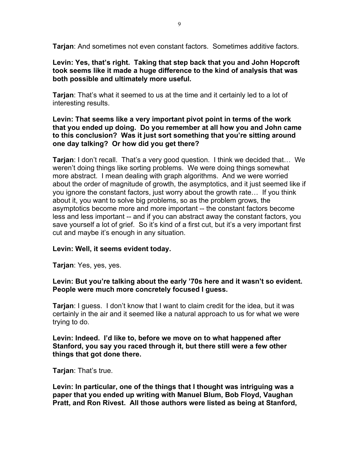**Tarjan**: And sometimes not even constant factors. Sometimes additive factors.

**Levin: Yes, that's right. Taking that step back that you and John Hopcroft took seems like it made a huge difference to the kind of analysis that was both possible and ultimately more useful.**

**Tarjan**: That's what it seemed to us at the time and it certainly led to a lot of interesting results.

# **Levin: That seems like a very important pivot point in terms of the work that you ended up doing. Do you remember at all how you and John came to this conclusion? Was it just sort something that you're sitting around one day talking? Or how did you get there?**

**Tarjan**: I don't recall. That's a very good question. I think we decided that… We weren't doing things like sorting problems. We were doing things somewhat more abstract. I mean dealing with graph algorithms. And we were worried about the order of magnitude of growth, the asymptotics, and it just seemed like if you ignore the constant factors, just worry about the growth rate… If you think about it, you want to solve big problems, so as the problem grows, the asymptotics become more and more important -- the constant factors become less and less important -- and if you can abstract away the constant factors, you save yourself a lot of grief. So it's kind of a first cut, but it's a very important first cut and maybe it's enough in any situation.

# **Levin: Well, it seems evident today.**

**Tarjan**: Yes, yes, yes.

### **Levin: But you're talking about the early '70s here and it wasn't so evident. People were much more concretely focused I guess.**

**Tarjan**: I guess. I don't know that I want to claim credit for the idea, but it was certainly in the air and it seemed like a natural approach to us for what we were trying to do.

**Levin: Indeed. I'd like to, before we move on to what happened after Stanford, you say you raced through it, but there still were a few other things that got done there.**

**Tarjan**: That's true.

**Levin: In particular, one of the things that I thought was intriguing was a paper that you ended up writing with Manuel Blum, Bob Floyd, Vaughan Pratt, and Ron Rivest. All those authors were listed as being at Stanford,**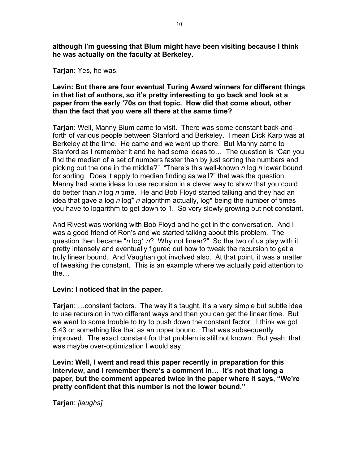**although I'm guessing that Blum might have been visiting because I think he was actually on the faculty at Berkeley.**

**Tarjan**: Yes, he was.

# **Levin: But there are four eventual Turing Award winners for different things in that list of authors, so it's pretty interesting to go back and look at a paper from the early '70s on that topic. How did that come about, other than the fact that you were all there at the same time?**

**Tarjan**: Well, Manny Blum came to visit. There was some constant back-andforth of various people between Stanford and Berkeley. I mean Dick Karp was at Berkeley at the time. He came and we went up there. But Manny came to Stanford as I remember it and he had some ideas to… The question is "Can you find the median of a set of numbers faster than by just sorting the numbers and picking out the one in the middle?" "There's this well-known *n* log *n* lower bound for sorting. Does it apply to median finding as well?" that was the question. Manny had some ideas to use recursion in a clever way to show that you could do better than *n* log *n* time. He and Bob Floyd started talking and they had an idea that gave a log *n* log\* *n* algorithm actually, log\* being the number of times you have to logarithm to get down to 1. So very slowly growing but not constant.

And Rivest was working with Bob Floyd and he got in the conversation. And I was a good friend of Ron's and we started talking about this problem. The question then became "*n* log\* *n*? Why not linear?" So the two of us play with it pretty intensely and eventually figured out how to tweak the recursion to get a truly linear bound. And Vaughan got involved also. At that point, it was a matter of tweaking the constant. This is an example where we actually paid attention to the…

# **Levin: I noticed that in the paper.**

**Tarjan**: …constant factors. The way it's taught, it's a very simple but subtle idea to use recursion in two different ways and then you can get the linear time. But we went to some trouble to try to push down the constant factor. I think we got 5.43 or something like that as an upper bound. That was subsequently improved. The exact constant for that problem is still not known. But yeah, that was maybe over-optimization I would say.

**Levin: Well, I went and read this paper recently in preparation for this interview, and I remember there's a comment in… It's not that long a paper, but the comment appeared twice in the paper where it says, "We're pretty confident that this number is not the lower bound."**

**Tarjan**: *[laughs]*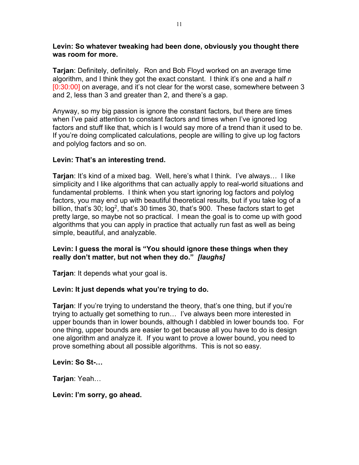### **Levin: So whatever tweaking had been done, obviously you thought there was room for more.**

**Tarjan**: Definitely, definitely. Ron and Bob Floyd worked on an average time algorithm, and I think they got the exact constant. I think it's one and a half *n* [0:30:00] on average, and it's not clear for the worst case, somewhere between 3 and 2, less than 3 and greater than 2, and there's a gap.

Anyway, so my big passion is ignore the constant factors, but there are times when I've paid attention to constant factors and times when I've ignored log factors and stuff like that, which is I would say more of a trend than it used to be. If you're doing complicated calculations, people are willing to give up log factors and polylog factors and so on.

# **Levin: That's an interesting trend.**

**Tarjan**: It's kind of a mixed bag. Well, here's what I think. I've always… I like simplicity and I like algorithms that can actually apply to real-world situations and fundamental problems. I think when you start ignoring log factors and polylog factors, you may end up with beautiful theoretical results, but if you take log of a billion, that's 30;  $log<sup>2</sup>$ , that's 30 times 30, that's 900. These factors start to get pretty large, so maybe not so practical. I mean the goal is to come up with good algorithms that you can apply in practice that actually run fast as well as being simple, beautiful, and analyzable.

# **Levin: I guess the moral is "You should ignore these things when they really don't matter, but not when they do."** *[laughs]*

**Tarjan**: It depends what your goal is.

# **Levin: It just depends what you're trying to do.**

**Tarjan**: If you're trying to understand the theory, that's one thing, but if you're trying to actually get something to run… I've always been more interested in upper bounds than in lower bounds, although I dabbled in lower bounds too. For one thing, upper bounds are easier to get because all you have to do is design one algorithm and analyze it. If you want to prove a lower bound, you need to prove something about all possible algorithms. This is not so easy.

# **Levin: So St-…**

**Tarjan**: Yeah…

**Levin: I'm sorry, go ahead.**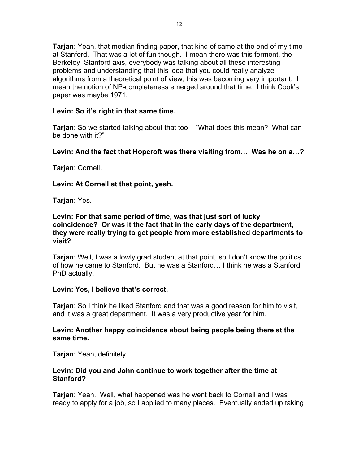**Tarjan**: Yeah, that median finding paper, that kind of came at the end of my time at Stanford. That was a lot of fun though. I mean there was this ferment, the Berkeley–Stanford axis, everybody was talking about all these interesting problems and understanding that this idea that you could really analyze algorithms from a theoretical point of view, this was becoming very important. I mean the notion of NP-completeness emerged around that time. I think Cook's paper was maybe 1971.

# **Levin: So it's right in that same time.**

**Tarjan**: So we started talking about that too – "What does this mean? What can be done with it?"

**Levin: And the fact that Hopcroft was there visiting from… Was he on a…?**

**Tarjan**: Cornell.

**Levin: At Cornell at that point, yeah.**

**Tarjan**: Yes.

**Levin: For that same period of time, was that just sort of lucky coincidence? Or was it the fact that in the early days of the department, they were really trying to get people from more established departments to visit?**

**Tarjan**: Well, I was a lowly grad student at that point, so I don't know the politics of how he came to Stanford. But he was a Stanford… I think he was a Stanford PhD actually.

# **Levin: Yes, I believe that's correct.**

**Tarjan**: So I think he liked Stanford and that was a good reason for him to visit, and it was a great department. It was a very productive year for him.

# **Levin: Another happy coincidence about being people being there at the same time.**

**Tarjan**: Yeah, definitely.

# **Levin: Did you and John continue to work together after the time at Stanford?**

**Tarjan**: Yeah. Well, what happened was he went back to Cornell and I was ready to apply for a job, so I applied to many places. Eventually ended up taking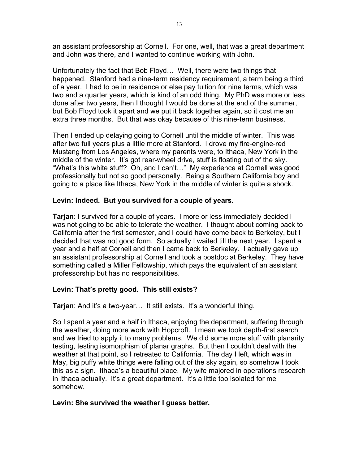an assistant professorship at Cornell. For one, well, that was a great department and John was there, and I wanted to continue working with John.

Unfortunately the fact that Bob Floyd… Well, there were two things that happened. Stanford had a nine-term residency requirement, a term being a third of a year. I had to be in residence or else pay tuition for nine terms, which was two and a quarter years, which is kind of an odd thing. My PhD was more or less done after two years, then I thought I would be done at the end of the summer, but Bob Floyd took it apart and we put it back together again, so it cost me an extra three months. But that was okay because of this nine-term business.

Then I ended up delaying going to Cornell until the middle of winter. This was after two full years plus a little more at Stanford. I drove my fire-engine-red Mustang from Los Angeles, where my parents were, to Ithaca, New York in the middle of the winter. It's got rear-wheel drive, stuff is floating out of the sky. "What's this white stuff? Oh, and I can't…" My experience at Cornell was good professionally but not so good personally. Being a Southern California boy and going to a place like Ithaca, New York in the middle of winter is quite a shock.

# **Levin: Indeed. But you survived for a couple of years.**

**Tarjan**: I survived for a couple of years. I more or less immediately decided I was not going to be able to tolerate the weather. I thought about coming back to California after the first semester, and I could have come back to Berkeley, but I decided that was not good form. So actually I waited till the next year. I spent a year and a half at Cornell and then I came back to Berkeley. I actually gave up an assistant professorship at Cornell and took a postdoc at Berkeley. They have something called a Miller Fellowship, which pays the equivalent of an assistant professorship but has no responsibilities.

# **Levin: That's pretty good. This still exists?**

**Tarjan**: And it's a two-year… It still exists. It's a wonderful thing.

So I spent a year and a half in Ithaca, enjoying the department, suffering through the weather, doing more work with Hopcroft. I mean we took depth-first search and we tried to apply it to many problems. We did some more stuff with planarity testing, testing isomorphism of planar graphs. But then I couldn't deal with the weather at that point, so I retreated to California. The day I left, which was in May, big puffy white things were falling out of the sky again, so somehow I took this as a sign. Ithaca's a beautiful place. My wife majored in operations research in Ithaca actually. It's a great department. It's a little too isolated for me somehow.

# **Levin: She survived the weather I guess better.**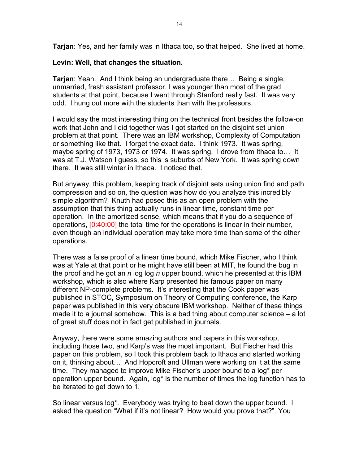**Tarjan**: Yes, and her family was in Ithaca too, so that helped. She lived at home.

# **Levin: Well, that changes the situation.**

**Tarjan**: Yeah. And I think being an undergraduate there… Being a single, unmarried, fresh assistant professor, I was younger than most of the grad students at that point, because I went through Stanford really fast. It was very odd. I hung out more with the students than with the professors.

I would say the most interesting thing on the technical front besides the follow-on work that John and I did together was I got started on the disjoint set union problem at that point. There was an IBM workshop, Complexity of Computation or something like that. I forget the exact date. I think 1973. It was spring, maybe spring of 1973, 1973 or 1974. It was spring. I drove from Ithaca to… It was at T.J. Watson I guess, so this is suburbs of New York. It was spring down there. It was still winter in Ithaca. I noticed that.

But anyway, this problem, keeping track of disjoint sets using union find and path compression and so on, the question was how do you analyze this incredibly simple algorithm? Knuth had posed this as an open problem with the assumption that this thing actually runs in linear time, constant time per operation. In the amortized sense, which means that if you do a sequence of operations, [0:40:00] the total time for the operations is linear in their number, even though an individual operation may take more time than some of the other operations.

There was a false proof of a linear time bound, which Mike Fischer, who I think was at Yale at that point or he might have still been at MIT, he found the bug in the proof and he got an *n* log log *n* upper bound, which he presented at this IBM workshop, which is also where Karp presented his famous paper on many different NP-complete problems. It's interesting that the Cook paper was published in STOC, Symposium on Theory of Computing conference, the Karp paper was published in this very obscure IBM workshop. Neither of these things made it to a journal somehow. This is a bad thing about computer science – a lot of great stuff does not in fact get published in journals.

Anyway, there were some amazing authors and papers in this workshop, including those two, and Karp's was the most important. But Fischer had this paper on this problem, so I took this problem back to Ithaca and started working on it, thinking about… And Hopcroft and Ullman were working on it at the same time. They managed to improve Mike Fischer's upper bound to a log\* per operation upper bound. Again, log\* is the number of times the log function has to be iterated to get down to 1.

So linear versus log\*. Everybody was trying to beat down the upper bound. I asked the question "What if it's not linear? How would you prove that?" You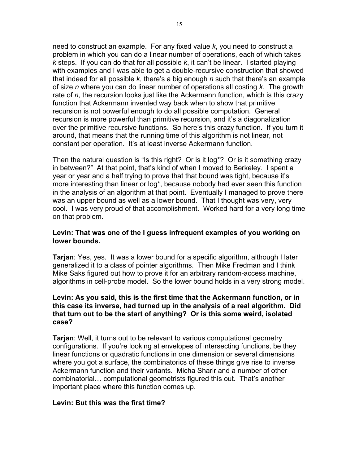need to construct an example. For any fixed value *k*, you need to construct a problem in which you can do a linear number of operations, each of which takes *k* steps. If you can do that for all possible *k*, it can't be linear. I started playing with examples and I was able to get a double-recursive construction that showed that indeed for all possible *k*, there's a big enough *n* such that there's an example of size *n* where you can do linear number of operations all costing *k*. The growth rate of *n*, the recursion looks just like the Ackermann function, which is this crazy function that Ackermann invented way back when to show that primitive recursion is not powerful enough to do all possible computation. General recursion is more powerful than primitive recursion, and it's a diagonalization over the primitive recursive functions. So here's this crazy function. If you turn it around, that means that the running time of this algorithm is not linear, not constant per operation. It's at least inverse Ackermann function.

Then the natural question is "Is this right? Or is it log\*? Or is it something crazy in between?" At that point, that's kind of when I moved to Berkeley. I spent a year or year and a half trying to prove that that bound was tight, because it's more interesting than linear or log\*, because nobody had ever seen this function in the analysis of an algorithm at that point. Eventually I managed to prove there was an upper bound as well as a lower bound. That I thought was very, very cool. I was very proud of that accomplishment. Worked hard for a very long time on that problem.

# **Levin: That was one of the I guess infrequent examples of you working on lower bounds.**

**Tarjan**: Yes, yes. It was a lower bound for a specific algorithm, although I later generalized it to a class of pointer algorithms. Then Mike Fredman and I think Mike Saks figured out how to prove it for an arbitrary random-access machine, algorithms in cell-probe model. So the lower bound holds in a very strong model.

# **Levin: As you said, this is the first time that the Ackermann function, or in this case its inverse, had turned up in the analysis of a real algorithm. Did that turn out to be the start of anything? Or is this some weird, isolated case?**

**Tarjan**: Well, it turns out to be relevant to various computational geometry configurations. If you're looking at envelopes of intersecting functions, be they linear functions or quadratic functions in one dimension or several dimensions where you got a surface, the combinatorics of these things give rise to inverse Ackermann function and their variants. Micha Sharir and a number of other combinatorial… computational geometrists figured this out. That's another important place where this function comes up.

# **Levin: But this was the first time?**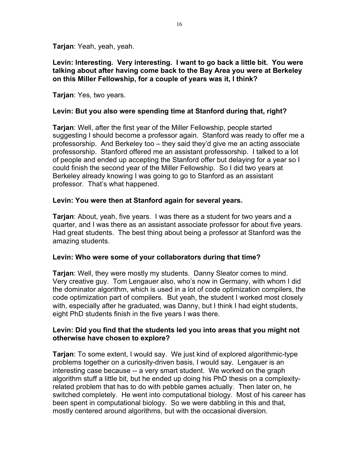**Tarjan**: Yeah, yeah, yeah.

**Levin: Interesting. Very interesting. I want to go back a little bit. You were talking about after having come back to the Bay Area you were at Berkeley on this Miller Fellowship, for a couple of years was it, I think?**

**Tarjan**: Yes, two years.

### **Levin: But you also were spending time at Stanford during that, right?**

**Tarjan**: Well, after the first year of the Miller Fellowship, people started suggesting I should become a professor again. Stanford was ready to offer me a professorship. And Berkeley too – they said they'd give me an acting associate professorship. Stanford offered me an assistant professorship. I talked to a lot of people and ended up accepting the Stanford offer but delaying for a year so I could finish the second year of the Miller Fellowship. So I did two years at Berkeley already knowing I was going to go to Stanford as an assistant professor. That's what happened.

### **Levin: You were then at Stanford again for several years.**

**Tarjan**: About, yeah, five years. I was there as a student for two years and a quarter, and I was there as an assistant associate professor for about five years. Had great students. The best thing about being a professor at Stanford was the amazing students.

#### **Levin: Who were some of your collaborators during that time?**

**Tarjan**: Well, they were mostly my students. Danny Sleator comes to mind. Very creative guy. Tom Lengauer also, who's now in Germany, with whom I did the dominator algorithm, which is used in a lot of code optimization compilers, the code optimization part of compilers. But yeah, the student I worked most closely with, especially after he graduated, was Danny, but I think I had eight students, eight PhD students finish in the five years I was there.

### **Levin: Did you find that the students led you into areas that you might not otherwise have chosen to explore?**

**Tarjan**: To some extent, I would say. We just kind of explored algorithmic-type problems together on a curiosity-driven basis, I would say. Lengauer is an interesting case because -- a very smart student. We worked on the graph algorithm stuff a little bit, but he ended up doing his PhD thesis on a complexityrelated problem that has to do with pebble games actually. Then later on, he switched completely. He went into computational biology. Most of his career has been spent in computational biology. So we were dabbling in this and that, mostly centered around algorithms, but with the occasional diversion.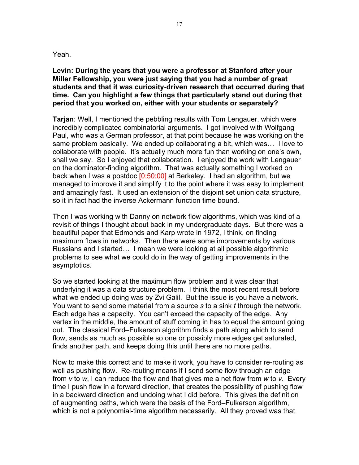#### Yeah.

**Levin: During the years that you were a professor at Stanford after your Miller Fellowship, you were just saying that you had a number of great students and that it was curiosity-driven research that occurred during that time. Can you highlight a few things that particularly stand out during that period that you worked on, either with your students or separately?**

**Tarjan**: Well, I mentioned the pebbling results with Tom Lengauer, which were incredibly complicated combinatorial arguments. I got involved with Wolfgang Paul, who was a German professor, at that point because he was working on the same problem basically. We ended up collaborating a bit, which was… I love to collaborate with people. It's actually much more fun than working on one's own, shall we say. So I enjoyed that collaboration. I enjoyed the work with Lengauer on the dominator-finding algorithm. That was actually something I worked on back when I was a postdoc [0:50:00] at Berkeley. I had an algorithm, but we managed to improve it and simplify it to the point where it was easy to implement and amazingly fast. It used an extension of the disjoint set union data structure, so it in fact had the inverse Ackermann function time bound.

Then I was working with Danny on network flow algorithms, which was kind of a revisit of things I thought about back in my undergraduate days. But there was a beautiful paper that Edmonds and Karp wrote in 1972, I think, on finding maximum flows in networks. Then there were some improvements by various Russians and I started… I mean we were looking at all possible algorithmic problems to see what we could do in the way of getting improvements in the asymptotics.

So we started looking at the maximum flow problem and it was clear that underlying it was a data structure problem. I think the most recent result before what we ended up doing was by Zvi Galil. But the issue is you have a network. You want to send some material from a source *s* to a sink *t* through the network. Each edge has a capacity. You can't exceed the capacity of the edge. Any vertex in the middle, the amount of stuff coming in has to equal the amount going out. The classical Ford–Fulkerson algorithm finds a path along which to send flow, sends as much as possible so one or possibly more edges get saturated, finds another path, and keeps doing this until there are no more paths.

Now to make this correct and to make it work, you have to consider re-routing as well as pushing flow. Re-routing means if I send some flow through an edge from *v* to *w*, I can reduce the flow and that gives me a net flow from *w* to *v*. Every time I push flow in a forward direction, that creates the possibility of pushing flow in a backward direction and undoing what I did before. This gives the definition of augmenting paths, which were the basis of the Ford–Fulkerson algorithm, which is not a polynomial-time algorithm necessarily. All they proved was that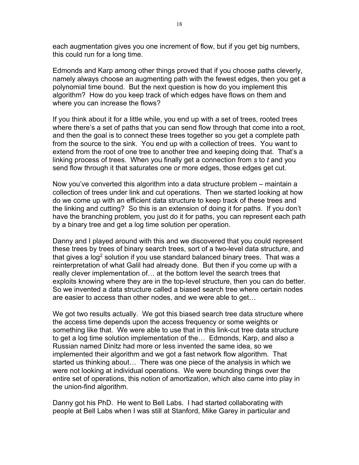each augmentation gives you one increment of flow, but if you get big numbers, this could run for a long time.

Edmonds and Karp among other things proved that if you choose paths cleverly, namely always choose an augmenting path with the fewest edges, then you get a polynomial time bound. But the next question is how do you implement this algorithm? How do you keep track of which edges have flows on them and where you can increase the flows?

If you think about it for a little while, you end up with a set of trees, rooted trees where there's a set of paths that you can send flow through that come into a root, and then the goal is to connect these trees together so you get a complete path from the source to the sink. You end up with a collection of trees. You want to extend from the root of one tree to another tree and keeping doing that. That's a linking process of trees. When you finally get a connection from *s* to *t* and you send flow through it that saturates one or more edges, those edges get cut.

Now you've converted this algorithm into a data structure problem – maintain a collection of trees under link and cut operations. Then we started looking at how do we come up with an efficient data structure to keep track of these trees and the linking and cutting? So this is an extension of doing it for paths. If you don't have the branching problem, you just do it for paths, you can represent each path by a binary tree and get a log time solution per operation.

Danny and I played around with this and we discovered that you could represent these trees by trees of binary search trees, sort of a two-level data structure, and that gives a log<sup>2</sup> solution if you use standard balanced binary trees. That was a reinterpretation of what Galil had already done. But then if you come up with a really clever implementation of… at the bottom level the search trees that exploits knowing where they are in the top-level structure, then you can do better. So we invented a data structure called a biased search tree where certain nodes are easier to access than other nodes, and we were able to get…

We got two results actually. We got this biased search tree data structure where the access time depends upon the access frequency or some weights or something like that. We were able to use that in this link-cut tree data structure to get a log time solution implementation of the… Edmonds, Karp, and also a Russian named Dinitz had more or less invented the same idea, so we implemented their algorithm and we got a fast network flow algorithm. That started us thinking about… There was one piece of the analysis in which we were not looking at individual operations. We were bounding things over the entire set of operations, this notion of amortization, which also came into play in the union-find algorithm.

Danny got his PhD. He went to Bell Labs. I had started collaborating with people at Bell Labs when I was still at Stanford, Mike Garey in particular and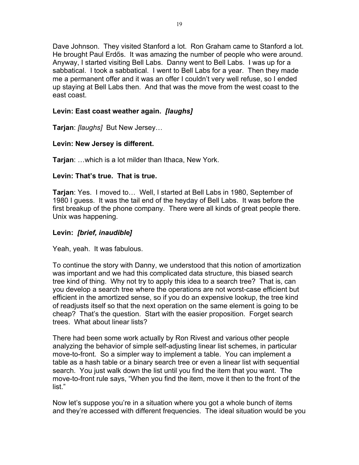Dave Johnson. They visited Stanford a lot. Ron Graham came to Stanford a lot. He brought Paul Erdős. It was amazing the number of people who were around. Anyway, I started visiting Bell Labs. Danny went to Bell Labs. I was up for a sabbatical. I took a sabbatical. I went to Bell Labs for a year. Then they made me a permanent offer and it was an offer I couldn't very well refuse, so I ended up staying at Bell Labs then. And that was the move from the west coast to the east coast.

# **Levin: East coast weather again.** *[laughs]*

**Tarjan**: *[laughs]* But New Jersey…

# **Levin: New Jersey is different.**

**Tarjan**: …which is a lot milder than Ithaca, New York.

# **Levin: That's true. That is true.**

**Tarjan**: Yes. I moved to… Well, I started at Bell Labs in 1980, September of 1980 I guess. It was the tail end of the heyday of Bell Labs. It was before the first breakup of the phone company. There were all kinds of great people there. Unix was happening.

# **Levin:** *[brief, inaudible]*

Yeah, yeah. It was fabulous.

To continue the story with Danny, we understood that this notion of amortization was important and we had this complicated data structure, this biased search tree kind of thing. Why not try to apply this idea to a search tree? That is, can you develop a search tree where the operations are not worst-case efficient but efficient in the amortized sense, so if you do an expensive lookup, the tree kind of readjusts itself so that the next operation on the same element is going to be cheap? That's the question. Start with the easier proposition. Forget search trees. What about linear lists?

There had been some work actually by Ron Rivest and various other people analyzing the behavior of simple self-adjusting linear list schemes, in particular move-to-front. So a simpler way to implement a table. You can implement a table as a hash table or a binary search tree or even a linear list with sequential search. You just walk down the list until you find the item that you want. The move-to-front rule says, "When you find the item, move it then to the front of the list."

Now let's suppose you're in a situation where you got a whole bunch of items and they're accessed with different frequencies. The ideal situation would be you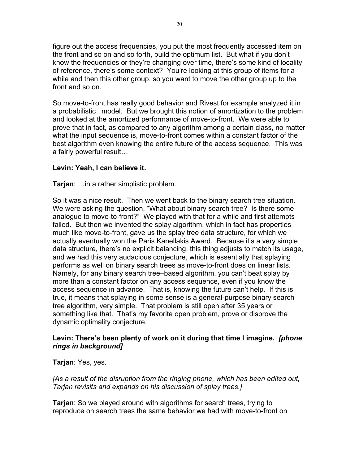figure out the access frequencies, you put the most frequently accessed item on the front and so on and so forth, build the optimum list. But what if you don't know the frequencies or they're changing over time, there's some kind of locality of reference, there's some context? You're looking at this group of items for a while and then this other group, so you want to move the other group up to the front and so on.

So move-to-front has really good behavior and Rivest for example analyzed it in a probabilistic model. But we brought this notion of amortization to the problem and looked at the amortized performance of move-to-front. We were able to prove that in fact, as compared to any algorithm among a certain class, no matter what the input sequence is, move-to-front comes within a constant factor of the best algorithm even knowing the entire future of the access sequence. This was a fairly powerful result…

# **Levin: Yeah, I can believe it.**

**Tarjan**: …in a rather simplistic problem.

So it was a nice result. Then we went back to the binary search tree situation. We were asking the question, "What about binary search tree? Is there some analogue to move-to-front?" We played with that for a while and first attempts failed. But then we invented the splay algorithm, which in fact has properties much like move-to-front, gave us the splay tree data structure, for which we actually eventually won the Paris Kanellakis Award. Because it's a very simple data structure, there's no explicit balancing, this thing adjusts to match its usage, and we had this very audacious conjecture, which is essentially that splaying performs as well on binary search trees as move-to-front does on linear lists. Namely, for any binary search tree–based algorithm, you can't beat splay by more than a constant factor on any access sequence, even if you know the access sequence in advance. That is, knowing the future can't help. If this is true, it means that splaying in some sense is a general-purpose binary search tree algorithm, very simple. That problem is still open after 35 years or something like that. That's my favorite open problem, prove or disprove the dynamic optimality conjecture.

# **Levin: There's been plenty of work on it during that time I imagine.** *[phone rings in background]*

**Tarjan**: Yes, yes.

*[As a result of the disruption from the ringing phone, which has been edited out, Tarjan revisits and expands on his discussion of splay trees.]*

**Tarjan**: So we played around with algorithms for search trees, trying to reproduce on search trees the same behavior we had with move-to-front on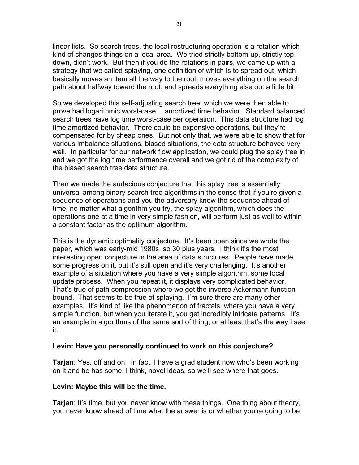linear lists. So search trees, the local restructuring operation is a rotation which kind of changes things on a local area. We tried strictly bottom-up, strictly topdown, didn't work. But then if you do the rotations in pairs, we came up with a strategy that we called splaying, one definition of which is to spread out, which basically moves an item all the way to the root, moves everything on the search path about halfway toward the root, and spreads everything else out a little bit.

So we developed this self-adjusting search tree, which we were then able to prove had logarithmic worst-case… amortized time behavior. Standard balanced search trees have log time worst-case per operation. This data structure had log time amortized behavior. There could be expensive operations, but they're compensated for by cheap ones. But not only that, we were able to show that for various imbalance situations, biased situations, the data structure behaved very well. In particular for our network flow application, we could plug the splay tree in and we got the log time performance overall and we got rid of the complexity of the biased search tree data structure.

Then we made the audacious conjecture that this splay tree is essentially universal among binary search tree algorithms in the sense that if you're given a sequence of operations and you the adversary know the sequence ahead of time, no matter what algorithm you try, the splay algorithm, which does the operations one at a time in very simple fashion, will perform just as well to within a constant factor as the optimum algorithm.

This is the dynamic optimality conjecture. It's been open since we wrote the paper, which was early-mid 1980s, so 30 plus years. I think it's the most interesting open conjecture in the area of data structures. People have made some progress on it, but it's still open and it's very challenging. It's another example of a situation where you have a very simple algorithm, some local update process. When you repeat it, it displays very complicated behavior. That's true of path compression where we got the inverse Ackermann function bound. That seems to be true of splaying. I'm sure there are many other examples. It's kind of like the phenomenon of fractals, where you have a very simple function, but when you iterate it, you get incredibly intricate patterns. It's an example in algorithms of the same sort of thing, or at least that's the way I see it.

#### **Levin: Have you personally continued to work on this conjecture?**

**Tarjan**: Yes, off and on. In fact, I have a grad student now who's been working on it and he has some, I think, novel ideas, so we'll see where that goes.

#### **Levin: Maybe this will be the time.**

**Tarjan**: It's time, but you never know with these things. One thing about theory, you never know ahead of time what the answer is or whether you're going to be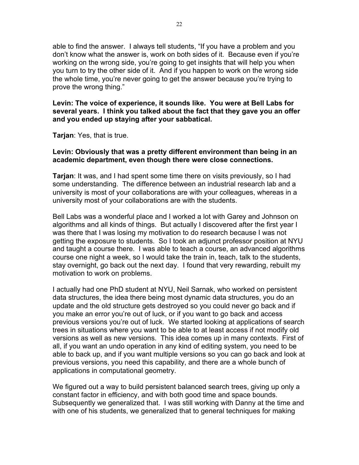able to find the answer. I always tell students, "If you have a problem and you don't know what the answer is, work on both sides of it. Because even if you're working on the wrong side, you're going to get insights that will help you when you turn to try the other side of it. And if you happen to work on the wrong side the whole time, you're never going to get the answer because you're trying to prove the wrong thing."

**Levin: The voice of experience, it sounds like. You were at Bell Labs for several years. I think you talked about the fact that they gave you an offer and you ended up staying after your sabbatical.**

**Tarjan**: Yes, that is true.

# **Levin: Obviously that was a pretty different environment than being in an academic department, even though there were close connections.**

**Tarjan**: It was, and I had spent some time there on visits previously, so I had some understanding. The difference between an industrial research lab and a university is most of your collaborations are with your colleagues, whereas in a university most of your collaborations are with the students.

Bell Labs was a wonderful place and I worked a lot with Garey and Johnson on algorithms and all kinds of things. But actually I discovered after the first year I was there that I was losing my motivation to do research because I was not getting the exposure to students. So I took an adjunct professor position at NYU and taught a course there. I was able to teach a course, an advanced algorithms course one night a week, so I would take the train in, teach, talk to the students, stay overnight, go back out the next day. I found that very rewarding, rebuilt my motivation to work on problems.

I actually had one PhD student at NYU, Neil Sarnak, who worked on persistent data structures, the idea there being most dynamic data structures, you do an update and the old structure gets destroyed so you could never go back and if you make an error you're out of luck, or if you want to go back and access previous versions you're out of luck. We started looking at applications of search trees in situations where you want to be able to at least access if not modify old versions as well as new versions. This idea comes up in many contexts. First of all, if you want an undo operation in any kind of editing system, you need to be able to back up, and if you want multiple versions so you can go back and look at previous versions, you need this capability, and there are a whole bunch of applications in computational geometry.

We figured out a way to build persistent balanced search trees, giving up only a constant factor in efficiency, and with both good time and space bounds. Subsequently we generalized that. I was still working with Danny at the time and with one of his students, we generalized that to general techniques for making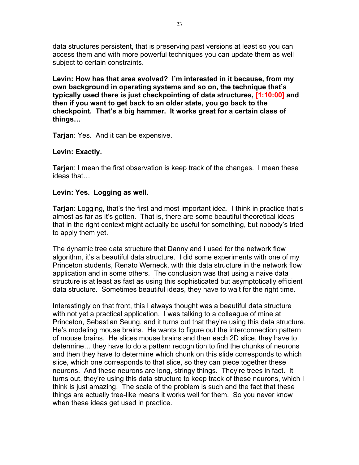data structures persistent, that is preserving past versions at least so you can access them and with more powerful techniques you can update them as well subject to certain constraints.

**Levin: How has that area evolved? I'm interested in it because, from my own background in operating systems and so on, the technique that's typically used there is just checkpointing of data structures, [1:10:00] and then if you want to get back to an older state, you go back to the checkpoint. That's a big hammer. It works great for a certain class of things…**

**Tarjan**: Yes. And it can be expensive.

# **Levin: Exactly.**

**Tarjan**: I mean the first observation is keep track of the changes. I mean these ideas that…

# **Levin: Yes. Logging as well.**

**Tarjan**: Logging, that's the first and most important idea. I think in practice that's almost as far as it's gotten. That is, there are some beautiful theoretical ideas that in the right context might actually be useful for something, but nobody's tried to apply them yet.

The dynamic tree data structure that Danny and I used for the network flow algorithm, it's a beautiful data structure. I did some experiments with one of my Princeton students, Renato Werneck, with this data structure in the network flow application and in some others. The conclusion was that using a naive data structure is at least as fast as using this sophisticated but asymptotically efficient data structure. Sometimes beautiful ideas, they have to wait for the right time.

Interestingly on that front, this I always thought was a beautiful data structure with not yet a practical application. I was talking to a colleague of mine at Princeton, Sebastian Seung, and it turns out that they're using this data structure. He's modeling mouse brains. He wants to figure out the interconnection pattern of mouse brains. He slices mouse brains and then each 2D slice, they have to determine… they have to do a pattern recognition to find the chunks of neurons and then they have to determine which chunk on this slide corresponds to which slice, which one corresponds to that slice, so they can piece together these neurons. And these neurons are long, stringy things. They're trees in fact. It turns out, they're using this data structure to keep track of these neurons, which I think is just amazing. The scale of the problem is such and the fact that these things are actually tree-like means it works well for them. So you never know when these ideas get used in practice.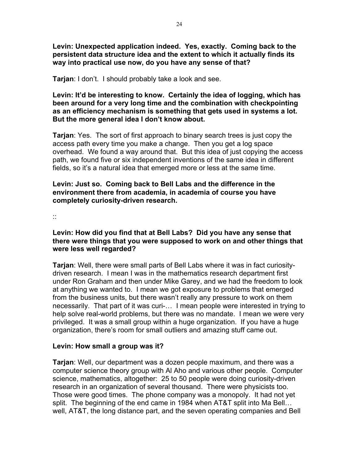**Levin: Unexpected application indeed. Yes, exactly. Coming back to the persistent data structure idea and the extent to which it actually finds its way into practical use now, do you have any sense of that?**

**Tarjan**: I don't. I should probably take a look and see.

**Levin: It'd be interesting to know. Certainly the idea of logging, which has been around for a very long time and the combination with checkpointing as an efficiency mechanism is something that gets used in systems a lot. But the more general idea I don't know about.**

**Tarjan**: Yes. The sort of first approach to binary search trees is just copy the access path every time you make a change. Then you get a log space overhead. We found a way around that. But this idea of just copying the access path, we found five or six independent inventions of the same idea in different fields, so it's a natural idea that emerged more or less at the same time.

### **Levin: Just so. Coming back to Bell Labs and the difference in the environment there from academia, in academia of course you have completely curiosity-driven research.**

::

# **Levin: How did you find that at Bell Labs? Did you have any sense that there were things that you were supposed to work on and other things that were less well regarded?**

**Tarjan**: Well, there were small parts of Bell Labs where it was in fact curiositydriven research. I mean I was in the mathematics research department first under Ron Graham and then under Mike Garey, and we had the freedom to look at anything we wanted to. I mean we got exposure to problems that emerged from the business units, but there wasn't really any pressure to work on them necessarily. That part of it was curi-… I mean people were interested in trying to help solve real-world problems, but there was no mandate. I mean we were very privileged. It was a small group within a huge organization. If you have a huge organization, there's room for small outliers and amazing stuff came out.

# **Levin: How small a group was it?**

**Tarjan**: Well, our department was a dozen people maximum, and there was a computer science theory group with Al Aho and various other people. Computer science, mathematics, altogether: 25 to 50 people were doing curiosity-driven research in an organization of several thousand. There were physicists too. Those were good times. The phone company was a monopoly. It had not yet split. The beginning of the end came in 1984 when AT&T split into Ma Bell… well, AT&T, the long distance part, and the seven operating companies and Bell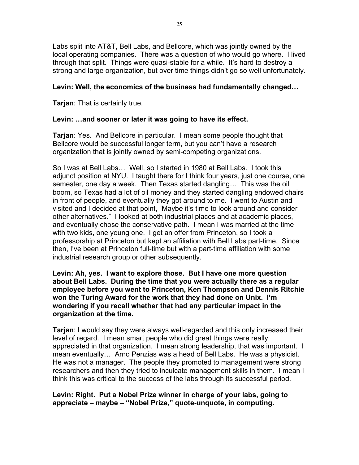Labs split into AT&T, Bell Labs, and Bellcore, which was jointly owned by the local operating companies. There was a question of who would go where. I lived through that split. Things were quasi-stable for a while. It's hard to destroy a strong and large organization, but over time things didn't go so well unfortunately.

# **Levin: Well, the economics of the business had fundamentally changed…**

**Tarjan**: That is certainly true.

# **Levin: …and sooner or later it was going to have its effect.**

**Tarjan**: Yes. And Bellcore in particular. I mean some people thought that Bellcore would be successful longer term, but you can't have a research organization that is jointly owned by semi-competing organizations.

So I was at Bell Labs… Well, so I started in 1980 at Bell Labs. I took this adjunct position at NYU. I taught there for I think four years, just one course, one semester, one day a week. Then Texas started dangling… This was the oil boom, so Texas had a lot of oil money and they started dangling endowed chairs in front of people, and eventually they got around to me. I went to Austin and visited and I decided at that point, "Maybe it's time to look around and consider other alternatives." I looked at both industrial places and at academic places, and eventually chose the conservative path. I mean I was married at the time with two kids, one young one. I get an offer from Princeton, so I took a professorship at Princeton but kept an affiliation with Bell Labs part-time. Since then, I've been at Princeton full-time but with a part-time affiliation with some industrial research group or other subsequently.

**Levin: Ah, yes. I want to explore those. But I have one more question about Bell Labs. During the time that you were actually there as a regular employee before you went to Princeton, Ken Thompson and Dennis Ritchie won the Turing Award for the work that they had done on Unix. I'm wondering if you recall whether that had any particular impact in the organization at the time.**

**Tarjan**: I would say they were always well-regarded and this only increased their level of regard. I mean smart people who did great things were really appreciated in that organization. I mean strong leadership, that was important. I mean eventually… Arno Penzias was a head of Bell Labs. He was a physicist. He was not a manager. The people they promoted to management were strong researchers and then they tried to inculcate management skills in them. I mean I think this was critical to the success of the labs through its successful period.

# **Levin: Right. Put a Nobel Prize winner in charge of your labs, going to appreciate – maybe – "Nobel Prize," quote-unquote, in computing.**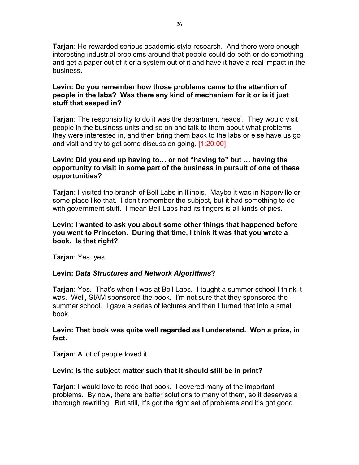**Tarjan**: He rewarded serious academic-style research. And there were enough interesting industrial problems around that people could do both or do something and get a paper out of it or a system out of it and have it have a real impact in the business.

# **Levin: Do you remember how those problems came to the attention of people in the labs? Was there any kind of mechanism for it or is it just stuff that seeped in?**

**Tarjan**: The responsibility to do it was the department heads'. They would visit people in the business units and so on and talk to them about what problems they were interested in, and then bring them back to the labs or else have us go and visit and try to get some discussion going. [1:20:00]

# **Levin: Did you end up having to… or not "having to" but … having the opportunity to visit in some part of the business in pursuit of one of these opportunities?**

**Tarjan**: I visited the branch of Bell Labs in Illinois. Maybe it was in Naperville or some place like that. I don't remember the subject, but it had something to do with government stuff. I mean Bell Labs had its fingers is all kinds of pies.

# **Levin: I wanted to ask you about some other things that happened before you went to Princeton. During that time, I think it was that you wrote a book. Is that right?**

**Tarjan**: Yes, yes.

# **Levin:** *Data Structures and Network Algorithms***?**

**Tarjan**: Yes. That's when I was at Bell Labs. I taught a summer school I think it was. Well, SIAM sponsored the book. I'm not sure that they sponsored the summer school. I gave a series of lectures and then I turned that into a small book.

### **Levin: That book was quite well regarded as I understand. Won a prize, in fact.**

**Tarjan**: A lot of people loved it.

# **Levin: Is the subject matter such that it should still be in print?**

**Tarjan**: I would love to redo that book. I covered many of the important problems. By now, there are better solutions to many of them, so it deserves a thorough rewriting. But still, it's got the right set of problems and it's got good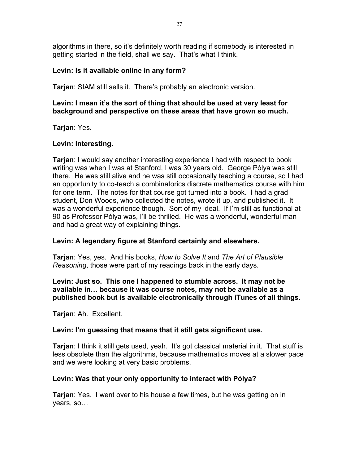algorithms in there, so it's definitely worth reading if somebody is interested in getting started in the field, shall we say. That's what I think.

# **Levin: Is it available online in any form?**

**Tarjan**: SIAM still sells it. There's probably an electronic version.

# **Levin: I mean it's the sort of thing that should be used at very least for background and perspective on these areas that have grown so much.**

**Tarjan**: Yes.

### **Levin: Interesting.**

**Tarjan**: I would say another interesting experience I had with respect to book writing was when I was at Stanford, I was 30 years old. George Pólya was still there. He was still alive and he was still occasionally teaching a course, so I had an opportunity to co-teach a combinatorics discrete mathematics course with him for one term. The notes for that course got turned into a book. I had a grad student, Don Woods, who collected the notes, wrote it up, and published it. It was a wonderful experience though. Sort of my ideal. If I'm still as functional at 90 as Professor Pólya was, I'll be thrilled. He was a wonderful, wonderful man and had a great way of explaining things.

# **Levin: A legendary figure at Stanford certainly and elsewhere.**

**Tarjan**: Yes, yes. And his books, *How to Solve It* and *The Art of Plausible Reasoning*, those were part of my readings back in the early days.

**Levin: Just so. This one I happened to stumble across. It may not be available in… because it was course notes, may not be available as a published book but is available electronically through iTunes of all things.**

**Tarjan**: Ah. Excellent.

#### **Levin: I'm guessing that means that it still gets significant use.**

**Tarjan**: I think it still gets used, yeah. It's got classical material in it. That stuff is less obsolete than the algorithms, because mathematics moves at a slower pace and we were looking at very basic problems.

#### **Levin: Was that your only opportunity to interact with Pólya?**

**Tarjan**: Yes. I went over to his house a few times, but he was getting on in years, so…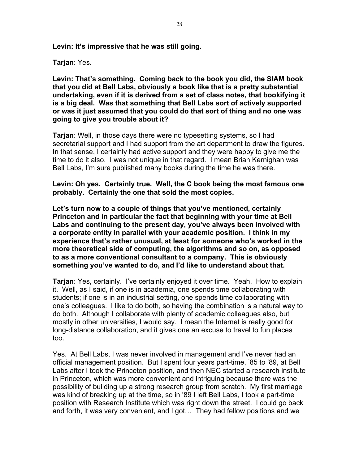**Levin: It's impressive that he was still going.**

**Tarjan**: Yes.

**Levin: That's something. Coming back to the book you did, the SIAM book that you did at Bell Labs, obviously a book like that is a pretty substantial undertaking, even if it is derived from a set of class notes, that bookifying it is a big deal. Was that something that Bell Labs sort of actively supported or was it just assumed that you could do that sort of thing and no one was going to give you trouble about it?**

**Tarjan**: Well, in those days there were no typesetting systems, so I had secretarial support and I had support from the art department to draw the figures. In that sense, I certainly had active support and they were happy to give me the time to do it also. I was not unique in that regard. I mean Brian Kernighan was Bell Labs, I'm sure published many books during the time he was there.

**Levin: Oh yes. Certainly true. Well, the C book being the most famous one probably. Certainly the one that sold the most copies.**

**Let's turn now to a couple of things that you've mentioned, certainly Princeton and in particular the fact that beginning with your time at Bell Labs and continuing to the present day, you've always been involved with a corporate entity in parallel with your academic position. I think in my experience that's rather unusual, at least for someone who's worked in the more theoretical side of computing, the algorithms and so on, as opposed to as a more conventional consultant to a company. This is obviously something you've wanted to do, and I'd like to understand about that.**

**Tarjan**: Yes, certainly. I've certainly enjoyed it over time. Yeah. How to explain it. Well, as I said, if one is in academia, one spends time collaborating with students; if one is in an industrial setting, one spends time collaborating with one's colleagues. I like to do both, so having the combination is a natural way to do both. Although I collaborate with plenty of academic colleagues also, but mostly in other universities, I would say. I mean the Internet is really good for long-distance collaboration, and it gives one an excuse to travel to fun places too.

Yes. At Bell Labs, I was never involved in management and I've never had an official management position. But I spent four years part-time, '85 to '89, at Bell Labs after I took the Princeton position, and then NEC started a research institute in Princeton, which was more convenient and intriguing because there was the possibility of building up a strong research group from scratch. My first marriage was kind of breaking up at the time, so in '89 I left Bell Labs, I took a part-time position with Research Institute which was right down the street. I could go back and forth, it was very convenient, and I got… They had fellow positions and we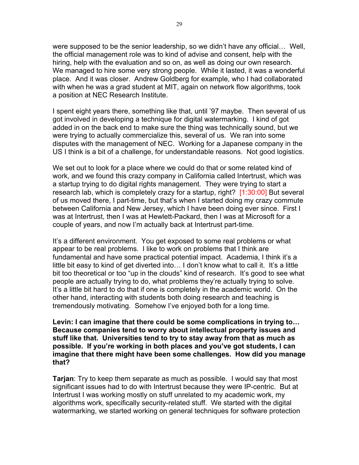were supposed to be the senior leadership, so we didn't have any official… Well, the official management role was to kind of advise and consent, help with the hiring, help with the evaluation and so on, as well as doing our own research. We managed to hire some very strong people. While it lasted, it was a wonderful place. And it was closer. Andrew Goldberg for example, who I had collaborated with when he was a grad student at MIT, again on network flow algorithms, took a position at NEC Research Institute.

I spent eight years there, something like that, until '97 maybe. Then several of us got involved in developing a technique for digital watermarking. I kind of got added in on the back end to make sure the thing was technically sound, but we were trying to actually commercialize this, several of us. We ran into some disputes with the management of NEC. Working for a Japanese company in the US I think is a bit of a challenge, for understandable reasons. Not good logistics.

We set out to look for a place where we could do that or some related kind of work, and we found this crazy company in California called Intertrust, which was a startup trying to do digital rights management. They were trying to start a research lab, which is completely crazy for a startup, right? [1:30:00] But several of us moved there, I part-time, but that's when I started doing my crazy commute between California and New Jersey, which I have been doing ever since. First I was at Intertrust, then I was at Hewlett-Packard, then I was at Microsoft for a couple of years, and now I'm actually back at Intertrust part-time.

It's a different environment. You get exposed to some real problems or what appear to be real problems. I like to work on problems that I think are fundamental and have some practical potential impact. Academia, I think it's a little bit easy to kind of get diverted into… I don't know what to call it. It's a little bit too theoretical or too "up in the clouds" kind of research. It's good to see what people are actually trying to do, what problems they're actually trying to solve. It's a little bit hard to do that if one is completely in the academic world. On the other hand, interacting with students both doing research and teaching is tremendously motivating. Somehow I've enjoyed both for a long time.

**Levin: I can imagine that there could be some complications in trying to… Because companies tend to worry about intellectual property issues and stuff like that. Universities tend to try to stay away from that as much as possible. If you're working in both places and you've got students, I can imagine that there might have been some challenges. How did you manage that?**

**Tarjan**: Try to keep them separate as much as possible. I would say that most significant issues had to do with Intertrust because they were IP-centric. But at Intertrust I was working mostly on stuff unrelated to my academic work, my algorithms work, specifically security-related stuff. We started with the digital watermarking, we started working on general techniques for software protection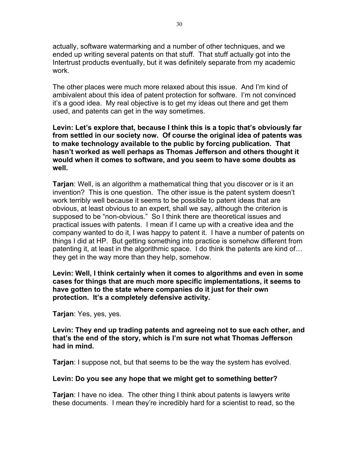actually, software watermarking and a number of other techniques, and we ended up writing several patents on that stuff. That stuff actually got into the Intertrust products eventually, but it was definitely separate from my academic work.

The other places were much more relaxed about this issue. And I'm kind of ambivalent about this idea of patent protection for software. I'm not convinced it's a good idea. My real objective is to get my ideas out there and get them used, and patents can get in the way sometimes.

**Levin: Let's explore that, because I think this is a topic that's obviously far from settled in our society now. Of course the original idea of patents was to make technology available to the public by forcing publication. That hasn't worked as well perhaps as Thomas Jefferson and others thought it would when it comes to software, and you seem to have some doubts as well.**

**Tarjan**: Well, is an algorithm a mathematical thing that you discover or is it an invention? This is one question. The other issue is the patent system doesn't work terribly well because it seems to be possible to patent ideas that are obvious, at least obvious to an expert, shall we say, although the criterion is supposed to be "non-obvious." So I think there are theoretical issues and practical issues with patents. I mean if I came up with a creative idea and the company wanted to do it, I was happy to patent it. I have a number of patents on things I did at HP. But getting something into practice is somehow different from patenting it, at least in the algorithmic space. I do think the patents are kind of… they get in the way more than they help, somehow.

**Levin: Well, I think certainly when it comes to algorithms and even in some cases for things that are much more specific implementations, it seems to have gotten to the state where companies do it just for their own protection. It's a completely defensive activity.**

**Tarjan**: Yes, yes, yes.

**Levin: They end up trading patents and agreeing not to sue each other, and that's the end of the story, which is I'm sure not what Thomas Jefferson had in mind.**

**Tarjan**: I suppose not, but that seems to be the way the system has evolved.

# **Levin: Do you see any hope that we might get to something better?**

**Tarjan**: I have no idea. The other thing I think about patents is lawyers write these documents. I mean they're incredibly hard for a scientist to read, so the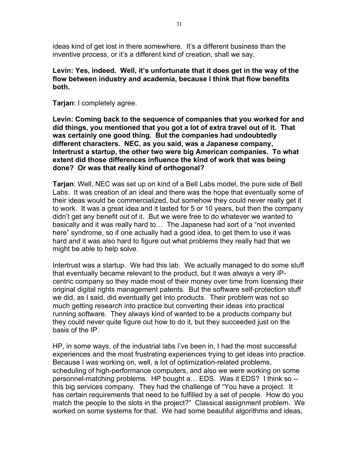ideas kind of get lost in there somewhere. It's a different business than the inventive process, or it's a different kind of creation, shall we say.

# **Levin: Yes, indeed. Well, it's unfortunate that it does get in the way of the flow between industry and academia, because I think that flow benefits both.**

**Tarjan**: I completely agree.

**Levin: Coming back to the sequence of companies that you worked for and did things, you mentioned that you got a lot of extra travel out of it. That was certainly one good thing. But the companies had undoubtedly different characters. NEC, as you said, was a Japanese company, Intertrust a startup, the other two were big American companies. To what extent did those differences influence the kind of work that was being done? Or was that really kind of orthogonal?**

**Tarjan**: Well, NEC was set up on kind of a Bell Labs model, the pure side of Bell Labs. It was creation of an ideal and there was the hope that eventually some of their ideas would be commercialized, but somehow they could never really get it to work. It was a great idea and it lasted for 5 or 10 years, but then the company didn't get any benefit out of it. But we were free to do whatever we wanted to basically and it was really hard to… The Japanese had sort of a "not invented here" syndrome, so if one actually had a good idea, to get them to use it was hard and it was also hard to figure out what problems they really had that we might be able to help solve.

Intertrust was a startup. We had this lab. We actually managed to do some stuff that eventually became relevant to the product, but it was always a very IPcentric company so they made most of their money over time from licensing their original digital rights management patents. But the software self-protection stuff we did, as I said, did eventually get into products. Their problem was not so much getting research into practice but converting their ideas into practical running software. They always kind of wanted to be a products company but they could never quite figure out how to do it, but they succeeded just on the basis of the IP.

HP, in some ways, of the industrial labs I've been in, I had the most successful experiences and the most frustrating experiences trying to get ideas into practice. Because I was working on, well, a lot of optimization-related problems, scheduling of high-performance computers, and also we were working on some personnel-matching problems. HP bought a… EDS. Was it EDS? I think so - this big services company. They had the challenge of "You have a project. It has certain requirements that need to be fulfilled by a set of people. How do you match the people to the slots in the project?" Classical assignment problem. We worked on some systems for that. We had some beautiful algorithms and ideas,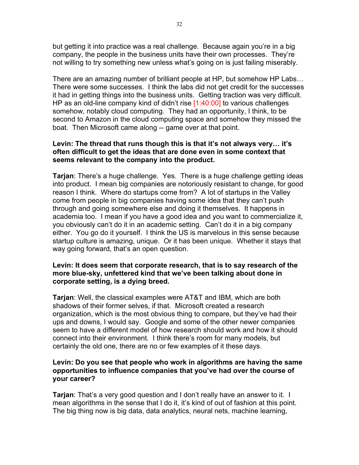but getting it into practice was a real challenge. Because again you're in a big company, the people in the business units have their own processes. They're not willing to try something new unless what's going on is just failing miserably.

There are an amazing number of brilliant people at HP, but somehow HP Labs… There were some successes. I think the labs did not get credit for the successes it had in getting things into the business units. Getting traction was very difficult. HP as an old-line company kind of didn't rise [1:40:00] to various challenges somehow, notably cloud computing. They had an opportunity, I think, to be second to Amazon in the cloud computing space and somehow they missed the boat. Then Microsoft came along -- game over at that point.

# **Levin: The thread that runs though this is that it's not always very… it's often difficult to get the ideas that are done even in some context that seems relevant to the company into the product.**

**Tarjan**: There's a huge challenge. Yes. There is a huge challenge getting ideas into product. I mean big companies are notoriously resistant to change, for good reason I think. Where do startups come from? A lot of startups in the Valley come from people in big companies having some idea that they can't push through and going somewhere else and doing it themselves. It happens in academia too. I mean if you have a good idea and you want to commercialize it, you obviously can't do it in an academic setting. Can't do it in a big company either. You go do it yourself. I think the US is marvelous in this sense because startup culture is amazing, unique. Or it has been unique. Whether it stays that way going forward, that's an open question.

# **Levin: It does seem that corporate research, that is to say research of the more blue-sky, unfettered kind that we've been talking about done in corporate setting, is a dying breed.**

**Tarjan**: Well, the classical examples were AT&T and IBM, which are both shadows of their former selves, if that. Microsoft created a research organization, which is the most obvious thing to compare, but they've had their ups and downs, I would say. Google and some of the other newer companies seem to have a different model of how research should work and how it should connect into their environment. I think there's room for many models, but certainly the old one, there are no or few examples of it these days.

# **Levin: Do you see that people who work in algorithms are having the same opportunities to influence companies that you've had over the course of your career?**

**Tarjan**: That's a very good question and I don't really have an answer to it. I mean algorithms in the sense that I do it, it's kind of out of fashion at this point. The big thing now is big data, data analytics, neural nets, machine learning,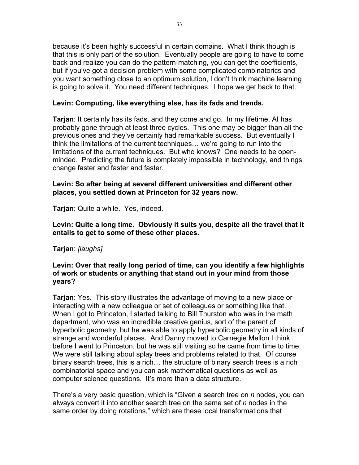because it's been highly successful in certain domains. What I think though is that this is only part of the solution. Eventually people are going to have to come back and realize you can do the pattern-matching, you can get the coefficients, but if you've got a decision problem with some complicated combinatorics and you want something close to an optimum solution, I don't think machine learning is going to solve it. You need different techniques. I hope we get back to that.

# **Levin: Computing, like everything else, has its fads and trends.**

**Tarjan**: It certainly has its fads, and they come and go. In my lifetime, AI has probably gone through at least three cycles. This one may be bigger than all the previous ones and they've certainly had remarkable success. But eventually I think the limitations of the current techniques… we're going to run into the limitations of the current techniques. But who knows? One needs to be openminded. Predicting the future is completely impossible in technology, and things change faster and faster and faster.

### **Levin: So after being at several different universities and different other places, you settled down at Princeton for 32 years now.**

**Tarjan**: Quite a while. Yes, indeed.

**Levin: Quite a long time. Obviously it suits you, despite all the travel that it entails to get to some of these other places.**

# **Tarjan**: *[laughs]*

# **Levin: Over that really long period of time, can you identify a few highlights of work or students or anything that stand out in your mind from those years?**

**Tarjan**: Yes. This story illustrates the advantage of moving to a new place or interacting with a new colleague or set of colleagues or something like that. When I got to Princeton, I started talking to Bill Thurston who was in the math department, who was an incredible creative genius, sort of the parent of hyperbolic geometry, but he was able to apply hyperbolic geometry in all kinds of strange and wonderful places. And Danny moved to Carnegie Mellon I think before I went to Princeton, but he was still visiting so he came from time to time. We were still talking about splay trees and problems related to that. Of course binary search trees, this is a rich… the structure of binary search trees is a rich combinatorial space and you can ask mathematical questions as well as computer science questions. It's more than a data structure.

There's a very basic question, which is "Given a search tree on *n* nodes, you can always convert it into another search tree on the same set of *n* nodes in the same order by doing rotations," which are these local transformations that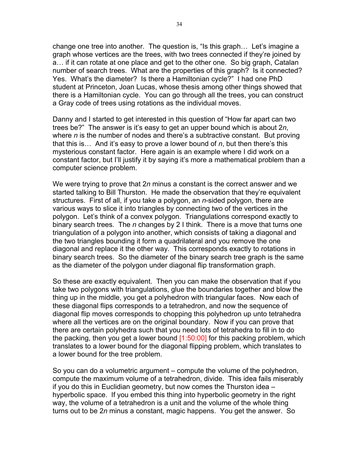change one tree into another. The question is, "Is this graph… Let's imagine a graph whose vertices are the trees, with two trees connected if they're joined by a… if it can rotate at one place and get to the other one. So big graph, Catalan number of search trees. What are the properties of this graph? Is it connected? Yes. What's the diameter? Is there a Hamiltonian cycle?" I had one PhD student at Princeton, Joan Lucas, whose thesis among other things showed that there is a Hamiltonian cycle. You can go through all the trees, you can construct a Gray code of trees using rotations as the individual moves.

Danny and I started to get interested in this question of "How far apart can two trees be?" The answer is it's easy to get an upper bound which is about 2*n*, where *n* is the number of nodes and there's a subtractive constant. But proving that this is… And it's easy to prove a lower bound of *n*, but then there's this mysterious constant factor. Here again is an example where I did work on a constant factor, but I'll justify it by saying it's more a mathematical problem than a computer science problem.

We were trying to prove that 2*n* minus a constant is the correct answer and we started talking to Bill Thurston. He made the observation that they're equivalent structures. First of all, if you take a polygon, an *n*-sided polygon, there are various ways to slice it into triangles by connecting two of the vertices in the polygon. Let's think of a convex polygon. Triangulations correspond exactly to binary search trees. The *n* changes by 2 I think. There is a move that turns one triangulation of a polygon into another, which consists of taking a diagonal and the two triangles bounding it form a quadrilateral and you remove the one diagonal and replace it the other way. This corresponds exactly to rotations in binary search trees. So the diameter of the binary search tree graph is the same as the diameter of the polygon under diagonal flip transformation graph.

So these are exactly equivalent. Then you can make the observation that if you take two polygons with triangulations, glue the boundaries together and blow the thing up in the middle, you get a polyhedron with triangular faces. Now each of these diagonal flips corresponds to a tetrahedron, and now the sequence of diagonal flip moves corresponds to chopping this polyhedron up unto tetrahedra where all the vertices are on the original boundary. Now if you can prove that there are certain polyhedra such that you need lots of tetrahedra to fill in to do the packing, then you get a lower bound  $[1:50:00]$  for this packing problem, which translates to a lower bound for the diagonal flipping problem, which translates to a lower bound for the tree problem.

So you can do a volumetric argument – compute the volume of the polyhedron, compute the maximum volume of a tetrahedron, divide. This idea fails miserably if you do this in Euclidian geometry, but now comes the Thurston idea – hyperbolic space. If you embed this thing into hyperbolic geometry in the right way, the volume of a tetrahedron is a unit and the volume of the whole thing turns out to be 2*n* minus a constant, magic happens. You get the answer. So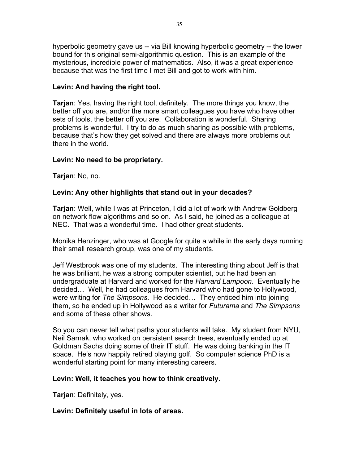hyperbolic geometry gave us -- via Bill knowing hyperbolic geometry -- the lower bound for this original semi-algorithmic question. This is an example of the mysterious, incredible power of mathematics. Also, it was a great experience because that was the first time I met Bill and got to work with him.

# **Levin: And having the right tool.**

**Tarjan**: Yes, having the right tool, definitely. The more things you know, the better off you are, and/or the more smart colleagues you have who have other sets of tools, the better off you are. Collaboration is wonderful. Sharing problems is wonderful. I try to do as much sharing as possible with problems, because that's how they get solved and there are always more problems out there in the world.

# **Levin: No need to be proprietary.**

**Tarjan**: No, no.

# **Levin: Any other highlights that stand out in your decades?**

**Tarjan**: Well, while I was at Princeton, I did a lot of work with Andrew Goldberg on network flow algorithms and so on. As I said, he joined as a colleague at NEC. That was a wonderful time. I had other great students.

Monika Henzinger, who was at Google for quite a while in the early days running their small research group, was one of my students.

Jeff Westbrook was one of my students. The interesting thing about Jeff is that he was brilliant, he was a strong computer scientist, but he had been an undergraduate at Harvard and worked for the *Harvard Lampoon*. Eventually he decided… Well, he had colleagues from Harvard who had gone to Hollywood, were writing for *The Simpsons*. He decided… They enticed him into joining them, so he ended up in Hollywood as a writer for *Futurama* and *The Simpsons* and some of these other shows.

So you can never tell what paths your students will take. My student from NYU, Neil Sarnak, who worked on persistent search trees, eventually ended up at Goldman Sachs doing some of their IT stuff. He was doing banking in the IT space. He's now happily retired playing golf. So computer science PhD is a wonderful starting point for many interesting careers.

# **Levin: Well, it teaches you how to think creatively.**

**Tarjan**: Definitely, yes.

# **Levin: Definitely useful in lots of areas.**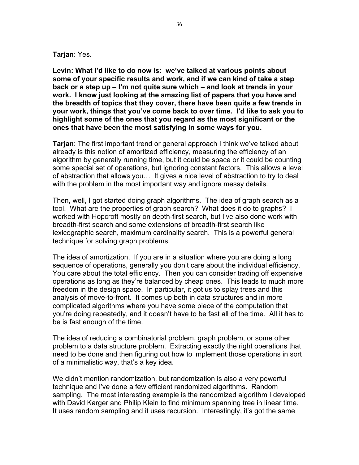#### **Tarjan**: Yes.

**Levin: What I'd like to do now is: we've talked at various points about some of your specific results and work, and if we can kind of take a step back or a step up – I'm not quite sure which – and look at trends in your work. I know just looking at the amazing list of papers that you have and the breadth of topics that they cover, there have been quite a few trends in your work, things that you've come back to over time. I'd like to ask you to highlight some of the ones that you regard as the most significant or the ones that have been the most satisfying in some ways for you.**

**Tarjan**: The first important trend or general approach I think we've talked about already is this notion of amortized efficiency, measuring the efficiency of an algorithm by generally running time, but it could be space or it could be counting some special set of operations, but ignoring constant factors. This allows a level of abstraction that allows you… It gives a nice level of abstraction to try to deal with the problem in the most important way and ignore messy details.

Then, well, I got started doing graph algorithms. The idea of graph search as a tool. What are the properties of graph search? What does it do to graphs? I worked with Hopcroft mostly on depth-first search, but I've also done work with breadth-first search and some extensions of breadth-first search like lexicographic search, maximum cardinality search. This is a powerful general technique for solving graph problems.

The idea of amortization. If you are in a situation where you are doing a long sequence of operations, generally you don't care about the individual efficiency. You care about the total efficiency. Then you can consider trading off expensive operations as long as they're balanced by cheap ones. This leads to much more freedom in the design space. In particular, it got us to splay trees and this analysis of move-to-front. It comes up both in data structures and in more complicated algorithms where you have some piece of the computation that you're doing repeatedly, and it doesn't have to be fast all of the time. All it has to be is fast enough of the time.

The idea of reducing a combinatorial problem, graph problem, or some other problem to a data structure problem. Extracting exactly the right operations that need to be done and then figuring out how to implement those operations in sort of a minimalistic way, that's a key idea.

We didn't mention randomization, but randomization is also a very powerful technique and I've done a few efficient randomized algorithms. Random sampling. The most interesting example is the randomized algorithm I developed with David Karger and Philip Klein to find minimum spanning tree in linear time. It uses random sampling and it uses recursion. Interestingly, it's got the same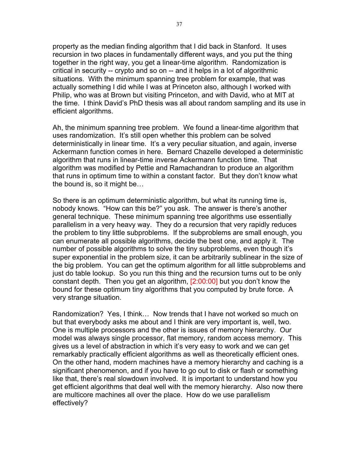property as the median finding algorithm that I did back in Stanford. It uses recursion in two places in fundamentally different ways, and you put the thing together in the right way, you get a linear-time algorithm. Randomization is critical in security -- crypto and so on -- and it helps in a lot of algorithmic situations. With the minimum spanning tree problem for example, that was actually something I did while I was at Princeton also, although I worked with Philip, who was at Brown but visiting Princeton, and with David, who at MIT at the time. I think David's PhD thesis was all about random sampling and its use in efficient algorithms.

Ah, the minimum spanning tree problem. We found a linear-time algorithm that uses randomization. It's still open whether this problem can be solved deterministically in linear time. It's a very peculiar situation, and again, inverse Ackermann function comes in here. Bernard Chazelle developed a deterministic algorithm that runs in linear-time inverse Ackermann function time. That algorithm was modified by Pettie and Ramachandran to produce an algorithm that runs in optimum time to within a constant factor. But they don't know what the bound is, so it might be…

So there is an optimum deterministic algorithm, but what its running time is, nobody knows. "How can this be?" you ask. The answer is there's another general technique. These minimum spanning tree algorithms use essentially parallelism in a very heavy way. They do a recursion that very rapidly reduces the problem to tiny little subproblems. If the subproblems are small enough, you can enumerate all possible algorithms, decide the best one, and apply it. The number of possible algorithms to solve the tiny subproblems, even though it's super exponential in the problem size, it can be arbitrarily sublinear in the size of the big problem. You can get the optimum algorithm for all little subproblems and just do table lookup. So you run this thing and the recursion turns out to be only constant depth. Then you get an algorithm, [2:00:00] but you don't know the bound for these optimum tiny algorithms that you computed by brute force. A very strange situation.

Randomization? Yes, I think… Now trends that I have not worked so much on but that everybody asks me about and I think are very important is, well, two. One is multiple processors and the other is issues of memory hierarchy. Our model was always single processor, flat memory, random access memory. This gives us a level of abstraction in which it's very easy to work and we can get remarkably practically efficient algorithms as well as theoretically efficient ones. On the other hand, modern machines have a memory hierarchy and caching is a significant phenomenon, and if you have to go out to disk or flash or something like that, there's real slowdown involved. It is important to understand how you get efficient algorithms that deal well with the memory hierarchy. Also now there are multicore machines all over the place. How do we use parallelism effectively?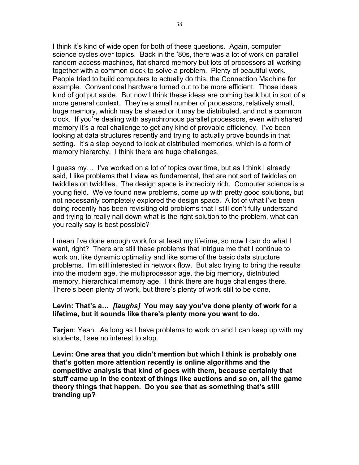I think it's kind of wide open for both of these questions. Again, computer science cycles over topics. Back in the '80s, there was a lot of work on parallel random-access machines, flat shared memory but lots of processors all working together with a common clock to solve a problem. Plenty of beautiful work. People tried to build computers to actually do this, the Connection Machine for example. Conventional hardware turned out to be more efficient. Those ideas kind of got put aside. But now I think these ideas are coming back but in sort of a more general context. They're a small number of processors, relatively small, huge memory, which may be shared or it may be distributed, and not a common clock. If you're dealing with asynchronous parallel processors, even with shared memory it's a real challenge to get any kind of provable efficiency. I've been looking at data structures recently and trying to actually prove bounds in that setting. It's a step beyond to look at distributed memories, which is a form of memory hierarchy. I think there are huge challenges.

I guess my… I've worked on a lot of topics over time, but as I think I already said, I like problems that I view as fundamental, that are not sort of twiddles on twiddles on twiddles. The design space is incredibly rich. Computer science is a young field. We've found new problems, come up with pretty good solutions, but not necessarily completely explored the design space. A lot of what I've been doing recently has been revisiting old problems that I still don't fully understand and trying to really nail down what is the right solution to the problem, what can you really say is best possible?

I mean I've done enough work for at least my lifetime, so now I can do what I want, right? There are still these problems that intrigue me that I continue to work on, like dynamic optimality and like some of the basic data structure problems. I'm still interested in network flow. But also trying to bring the results into the modern age, the multiprocessor age, the big memory, distributed memory, hierarchical memory age. I think there are huge challenges there. There's been plenty of work, but there's plenty of work still to be done.

#### **Levin: That's a…** *[laughs]* **You may say you've done plenty of work for a lifetime, but it sounds like there's plenty more you want to do.**

**Tarjan**: Yeah. As long as I have problems to work on and I can keep up with my students, I see no interest to stop.

**Levin: One area that you didn't mention but which I think is probably one that's gotten more attention recently is online algorithms and the competitive analysis that kind of goes with them, because certainly that stuff came up in the context of things like auctions and so on, all the game theory things that happen. Do you see that as something that's still trending up?**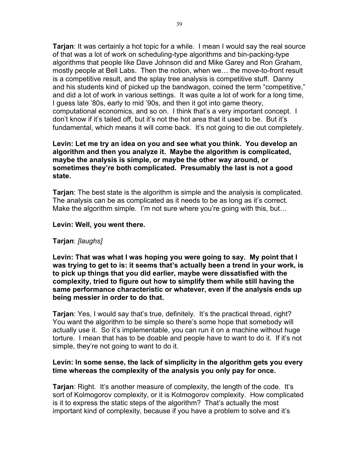**Tarjan**: It was certainly a hot topic for a while. I mean I would say the real source of that was a lot of work on scheduling-type algorithms and bin-packing-type algorithms that people like Dave Johnson did and Mike Garey and Ron Graham, mostly people at Bell Labs. Then the notion, when we… the move-to-front result is a competitive result, and the splay tree analysis is competitive stuff. Danny and his students kind of picked up the bandwagon, coined the term "competitive," and did a lot of work in various settings. It was quite a lot of work for a long time, I guess late '80s, early to mid '90s, and then it got into game theory, computational economics, and so on. I think that's a very important concept. I don't know if it's tailed off, but it's not the hot area that it used to be. But it's fundamental, which means it will come back. It's not going to die out completely.

# **Levin: Let me try an idea on you and see what you think. You develop an algorithm and then you analyze it. Maybe the algorithm is complicated, maybe the analysis is simple, or maybe the other way around, or sometimes they're both complicated. Presumably the last is not a good state.**

**Tarjan**: The best state is the algorithm is simple and the analysis is complicated. The analysis can be as complicated as it needs to be as long as it's correct. Make the algorithm simple. I'm not sure where you're going with this, but...

#### **Levin: Well, you went there.**

#### **Tarjan**: *[laughs]*

**Levin: That was what I was hoping you were going to say. My point that I was trying to get to is: it seems that's actually been a trend in your work, is to pick up things that you did earlier, maybe were dissatisfied with the complexity, tried to figure out how to simplify them while still having the same performance characteristic or whatever, even if the analysis ends up being messier in order to do that.**

**Tarjan**: Yes, I would say that's true, definitely. It's the practical thread, right? You want the algorithm to be simple so there's some hope that somebody will actually use it. So it's implementable, you can run it on a machine without huge torture. I mean that has to be doable and people have to want to do it. If it's not simple, they're not going to want to do it.

### **Levin: In some sense, the lack of simplicity in the algorithm gets you every time whereas the complexity of the analysis you only pay for once.**

**Tarjan**: Right. It's another measure of complexity, the length of the code. It's sort of Kolmogorov complexity, or it is Kolmogorov complexity. How complicated is it to express the static steps of the algorithm? That's actually the most important kind of complexity, because if you have a problem to solve and it's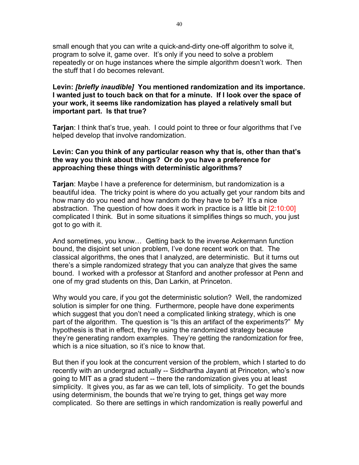small enough that you can write a quick-and-dirty one-off algorithm to solve it, program to solve it, game over. It's only if you need to solve a problem repeatedly or on huge instances where the simple algorithm doesn't work. Then the stuff that I do becomes relevant.

# **Levin:** *[briefly inaudible]* **You mentioned randomization and its importance. I wanted just to touch back on that for a minute. If I look over the space of your work, it seems like randomization has played a relatively small but important part. Is that true?**

**Tarjan**: I think that's true, yeah. I could point to three or four algorithms that I've helped develop that involve randomization.

# **Levin: Can you think of any particular reason why that is, other than that's the way you think about things? Or do you have a preference for approaching these things with deterministic algorithms?**

**Tarjan**: Maybe I have a preference for determinism, but randomization is a beautiful idea. The tricky point is where do you actually get your random bits and how many do you need and how random do they have to be? It's a nice abstraction. The question of how does it work in practice is a little bit [2:10:00] complicated I think. But in some situations it simplifies things so much, you just got to go with it.

And sometimes, you know… Getting back to the inverse Ackermann function bound, the disjoint set union problem, I've done recent work on that. The classical algorithms, the ones that I analyzed, are deterministic. But it turns out there's a simple randomized strategy that you can analyze that gives the same bound. I worked with a professor at Stanford and another professor at Penn and one of my grad students on this, Dan Larkin, at Princeton.

Why would you care, if you got the deterministic solution? Well, the randomized solution is simpler for one thing. Furthermore, people have done experiments which suggest that you don't need a complicated linking strategy, which is one part of the algorithm. The question is "Is this an artifact of the experiments?" My hypothesis is that in effect, they're using the randomized strategy because they're generating random examples. They're getting the randomization for free, which is a nice situation, so it's nice to know that.

But then if you look at the concurrent version of the problem, which I started to do recently with an undergrad actually -- Siddhartha Jayanti at Princeton, who's now going to MIT as a grad student -- there the randomization gives you at least simplicity. It gives you, as far as we can tell, lots of simplicity. To get the bounds using determinism, the bounds that we're trying to get, things get way more complicated. So there are settings in which randomization is really powerful and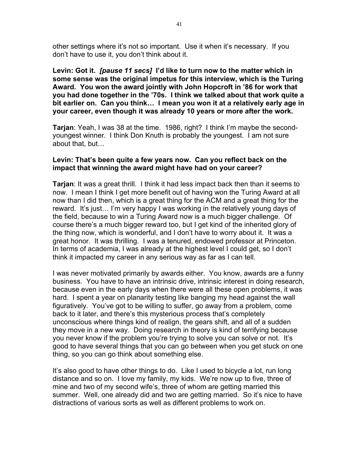other settings where it's not so important. Use it when it's necessary. If you don't have to use it, you don't think about it.

**Levin: Got it.** *[pause 11 secs]* **I'd like to turn now to the matter which in some sense was the original impetus for this interview, which is the Turing Award. You won the award jointly with John Hopcroft in '86 for work that you had done together in the '70s. I think we talked about that work quite a bit earlier on. Can you think… I mean you won it at a relatively early age in your career, even though it was already 10 years or more after the work.**

**Tarjan**: Yeah, I was 38 at the time. 1986, right? I think I'm maybe the secondyoungest winner. I think Don Knuth is probably the youngest. I am not sure about that, but…

### **Levin: That's been quite a few years now. Can you reflect back on the impact that winning the award might have had on your career?**

**Tarjan**: It was a great thrill. I think it had less impact back then than it seems to now. I mean I think I get more benefit out of having won the Turing Award at all now than I did then, which is a great thing for the ACM and a great thing for the reward. It's just… I'm very happy I was working in the relatively young days of the field, because to win a Turing Award now is a much bigger challenge. Of course there's a much bigger reward too, but I get kind of the inherited glory of the thing now, which is wonderful, and I don't have to worry about it. It was a great honor. It was thrilling. I was a tenured, endowed professor at Princeton. In terms of academia, I was already at the highest level I could get, so I don't think it impacted my career in any serious way as far as I can tell.

I was never motivated primarily by awards either. You know, awards are a funny business. You have to have an intrinsic drive, intrinsic interest in doing research, because even in the early days when there were all these open problems, it was hard. I spent a year on planarity testing like banging my head against the wall figuratively. You've got to be willing to suffer, go away from a problem, come back to it later, and there's this mysterious process that's completely unconscious where things kind of realign, the gears shift, and all of a sudden they move in a new way. Doing research in theory is kind of terrifying because you never know if the problem you're trying to solve you can solve or not. It's good to have several things that you can go between when you get stuck on one thing, so you can go think about something else.

It's also good to have other things to do. Like I used to bicycle a lot, run long distance and so on. I love my family, my kids. We're now up to five, three of mine and two of my second wife's, three of whom are getting married this summer. Well, one already did and two are getting married. So it's nice to have distractions of various sorts as well as different problems to work on.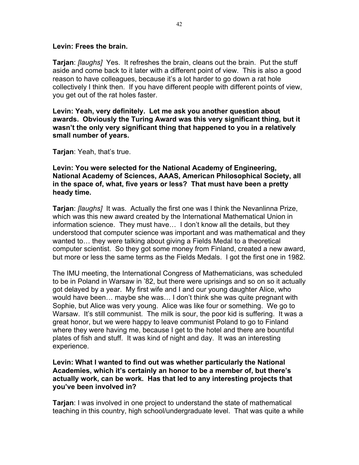#### **Levin: Frees the brain.**

**Tarjan**: *[laughs]* Yes. It refreshes the brain, cleans out the brain. Put the stuff aside and come back to it later with a different point of view. This is also a good reason to have colleagues, because it's a lot harder to go down a rat hole collectively I think then. If you have different people with different points of view, you get out of the rat holes faster.

**Levin: Yeah, very definitely. Let me ask you another question about awards. Obviously the Turing Award was this very significant thing, but it wasn't the only very significant thing that happened to you in a relatively small number of years.**

**Tarjan**: Yeah, that's true.

**Levin: You were selected for the National Academy of Engineering, National Academy of Sciences, AAAS, American Philosophical Society, all in the space of, what, five years or less? That must have been a pretty heady time.**

**Tarjan**: *[laughs]* It was. Actually the first one was I think the Nevanlinna Prize, which was this new award created by the International Mathematical Union in information science. They must have… I don't know all the details, but they understood that computer science was important and was mathematical and they wanted to… they were talking about giving a Fields Medal to a theoretical computer scientist. So they got some money from Finland, created a new award, but more or less the same terms as the Fields Medals. I got the first one in 1982.

The IMU meeting, the International Congress of Mathematicians, was scheduled to be in Poland in Warsaw in '82, but there were uprisings and so on so it actually got delayed by a year. My first wife and I and our young daughter Alice, who would have been… maybe she was… I don't think she was quite pregnant with Sophie, but Alice was very young. Alice was like four or something. We go to Warsaw. It's still communist. The milk is sour, the poor kid is suffering. It was a great honor, but we were happy to leave communist Poland to go to Finland where they were having me, because I get to the hotel and there are bountiful plates of fish and stuff. It was kind of night and day. It was an interesting experience.

**Levin: What I wanted to find out was whether particularly the National Academies, which it's certainly an honor to be a member of, but there's actually work, can be work. Has that led to any interesting projects that you've been involved in?**

**Tarjan**: I was involved in one project to understand the state of mathematical teaching in this country, high school/undergraduate level. That was quite a while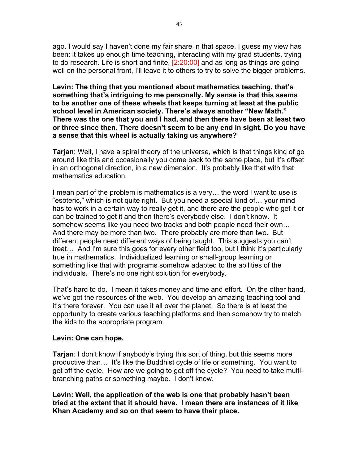ago. I would say I haven't done my fair share in that space. I guess my view has been: it takes up enough time teaching, interacting with my grad students, trying to do research. Life is short and finite, [2:20:00] and as long as things are going well on the personal front, I'll leave it to others to try to solve the bigger problems.

**Levin: The thing that you mentioned about mathematics teaching, that's something that's intriguing to me personally. My sense is that this seems to be another one of these wheels that keeps turning at least at the public school level in American society. There's always another "New Math." There was the one that you and I had, and then there have been at least two or three since then. There doesn't seem to be any end in sight. Do you have a sense that this wheel is actually taking us anywhere?**

**Tarjan**: Well, I have a spiral theory of the universe, which is that things kind of go around like this and occasionally you come back to the same place, but it's offset in an orthogonal direction, in a new dimension. It's probably like that with that mathematics education.

I mean part of the problem is mathematics is a very… the word I want to use is "esoteric," which is not quite right. But you need a special kind of… your mind has to work in a certain way to really get it, and there are the people who get it or can be trained to get it and then there's everybody else. I don't know. It somehow seems like you need two tracks and both people need their own… And there may be more than two. There probably are more than two. But different people need different ways of being taught. This suggests you can't treat… And I'm sure this goes for every other field too, but I think it's particularly true in mathematics. Individualized learning or small-group learning or something like that with programs somehow adapted to the abilities of the individuals. There's no one right solution for everybody.

That's hard to do. I mean it takes money and time and effort. On the other hand, we've got the resources of the web. You develop an amazing teaching tool and it's there forever. You can use it all over the planet. So there is at least the opportunity to create various teaching platforms and then somehow try to match the kids to the appropriate program.

#### **Levin: One can hope.**

**Tarjan**: I don't know if anybody's trying this sort of thing, but this seems more productive than… It's like the Buddhist cycle of life or something. You want to get off the cycle. How are we going to get off the cycle? You need to take multibranching paths or something maybe. I don't know.

**Levin: Well, the application of the web is one that probably hasn't been tried at the extent that it should have. I mean there are instances of it like Khan Academy and so on that seem to have their place.**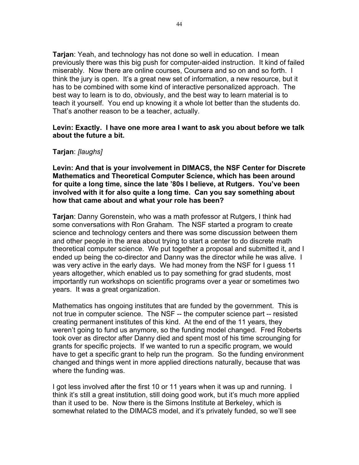**Tarjan**: Yeah, and technology has not done so well in education. I mean previously there was this big push for computer-aided instruction. It kind of failed miserably. Now there are online courses, Coursera and so on and so forth. I think the jury is open. It's a great new set of information, a new resource, but it has to be combined with some kind of interactive personalized approach. The best way to learn is to do, obviously, and the best way to learn material is to teach it yourself. You end up knowing it a whole lot better than the students do. That's another reason to be a teacher, actually.

#### **Levin: Exactly. I have one more area I want to ask you about before we talk about the future a bit.**

#### **Tarjan**: *[laughs]*

**Levin: And that is your involvement in DIMACS, the NSF Center for Discrete Mathematics and Theoretical Computer Science, which has been around for quite a long time, since the late '80s I believe, at Rutgers. You've been involved with it for also quite a long time. Can you say something about how that came about and what your role has been?**

**Tarjan**: Danny Gorenstein, who was a math professor at Rutgers, I think had some conversations with Ron Graham. The NSF started a program to create science and technology centers and there was some discussion between them and other people in the area about trying to start a center to do discrete math theoretical computer science. We put together a proposal and submitted it, and I ended up being the co-director and Danny was the director while he was alive. I was very active in the early days. We had money from the NSF for I guess 11 years altogether, which enabled us to pay something for grad students, most importantly run workshops on scientific programs over a year or sometimes two years. It was a great organization.

Mathematics has ongoing institutes that are funded by the government. This is not true in computer science. The NSF -- the computer science part -- resisted creating permanent institutes of this kind. At the end of the 11 years, they weren't going to fund us anymore, so the funding model changed. Fred Roberts took over as director after Danny died and spent most of his time scrounging for grants for specific projects. If we wanted to run a specific program, we would have to get a specific grant to help run the program. So the funding environment changed and things went in more applied directions naturally, because that was where the funding was.

I got less involved after the first 10 or 11 years when it was up and running. I think it's still a great institution, still doing good work, but it's much more applied than it used to be. Now there is the Simons Institute at Berkeley, which is somewhat related to the DIMACS model, and it's privately funded, so we'll see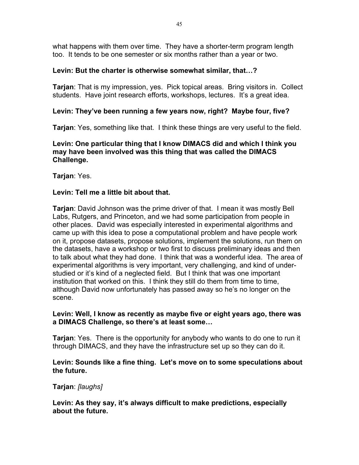what happens with them over time. They have a shorter-term program length too. It tends to be one semester or six months rather than a year or two.

# **Levin: But the charter is otherwise somewhat similar, that…?**

**Tarjan**: That is my impression, yes. Pick topical areas. Bring visitors in. Collect students. Have joint research efforts, workshops, lectures. It's a great idea.

# **Levin: They've been running a few years now, right? Maybe four, five?**

**Tarjan**: Yes, something like that. I think these things are very useful to the field.

**Levin: One particular thing that I know DIMACS did and which I think you may have been involved was this thing that was called the DIMACS Challenge.**

**Tarjan**: Yes.

# **Levin: Tell me a little bit about that.**

**Tarjan**: David Johnson was the prime driver of that. I mean it was mostly Bell Labs, Rutgers, and Princeton, and we had some participation from people in other places. David was especially interested in experimental algorithms and came up with this idea to pose a computational problem and have people work on it, propose datasets, propose solutions, implement the solutions, run them on the datasets, have a workshop or two first to discuss preliminary ideas and then to talk about what they had done. I think that was a wonderful idea. The area of experimental algorithms is very important, very challenging, and kind of understudied or it's kind of a neglected field. But I think that was one important institution that worked on this. I think they still do them from time to time, although David now unfortunately has passed away so he's no longer on the scene.

# **Levin: Well, I know as recently as maybe five or eight years ago, there was a DIMACS Challenge, so there's at least some…**

**Tarjan**: Yes. There is the opportunity for anybody who wants to do one to run it through DIMACS, and they have the infrastructure set up so they can do it.

# **Levin: Sounds like a fine thing. Let's move on to some speculations about the future.**

# **Tarjan**: *[laughs]*

**Levin: As they say, it's always difficult to make predictions, especially about the future.**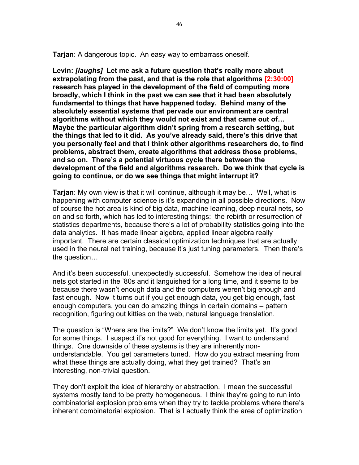**Tarjan**: A dangerous topic. An easy way to embarrass oneself.

**Levin:** *[laughs]* **Let me ask a future question that's really more about extrapolating from the past, and that is the role that algorithms [2:30:00] research has played in the development of the field of computing more broadly, which I think in the past we can see that it had been absolutely fundamental to things that have happened today. Behind many of the absolutely essential systems that pervade our environment are central algorithms without which they would not exist and that came out of… Maybe the particular algorithm didn't spring from a research setting, but the things that led to it did. As you've already said, there's this drive that you personally feel and that I think other algorithms researchers do, to find problems, abstract them, create algorithms that address those problems, and so on. There's a potential virtuous cycle there between the development of the field and algorithms research. Do we think that cycle is going to continue, or do we see things that might interrupt it?**

**Tarjan**: My own view is that it will continue, although it may be… Well, what is happening with computer science is it's expanding in all possible directions. Now of course the hot area is kind of big data, machine learning, deep neural nets, so on and so forth, which has led to interesting things: the rebirth or resurrection of statistics departments, because there's a lot of probability statistics going into the data analytics. It has made linear algebra, applied linear algebra really important. There are certain classical optimization techniques that are actually used in the neural net training, because it's just tuning parameters. Then there's the question…

And it's been successful, unexpectedly successful. Somehow the idea of neural nets got started in the '80s and it languished for a long time, and it seems to be because there wasn't enough data and the computers weren't big enough and fast enough. Now it turns out if you get enough data, you get big enough, fast enough computers, you can do amazing things in certain domains – pattern recognition, figuring out kitties on the web, natural language translation.

The question is "Where are the limits?" We don't know the limits yet. It's good for some things. I suspect it's not good for everything. I want to understand things. One downside of these systems is they are inherently nonunderstandable. You get parameters tuned. How do you extract meaning from what these things are actually doing, what they get trained? That's an interesting, non-trivial question.

They don't exploit the idea of hierarchy or abstraction. I mean the successful systems mostly tend to be pretty homogeneous. I think they're going to run into combinatorial explosion problems when they try to tackle problems where there's inherent combinatorial explosion. That is I actually think the area of optimization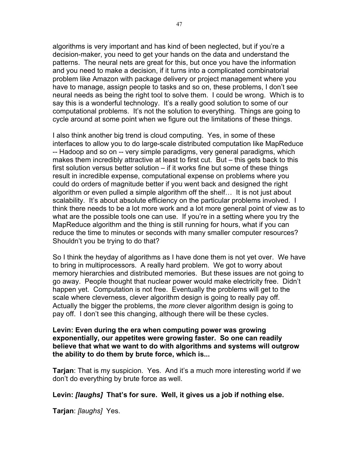algorithms is very important and has kind of been neglected, but if you're a decision-maker, you need to get your hands on the data and understand the patterns. The neural nets are great for this, but once you have the information and you need to make a decision, if it turns into a complicated combinatorial problem like Amazon with package delivery or project management where you have to manage, assign people to tasks and so on, these problems, I don't see neural needs as being the right tool to solve them. I could be wrong. Which is to say this is a wonderful technology. It's a really good solution to some of our computational problems. It's not the solution to everything. Things are going to cycle around at some point when we figure out the limitations of these things.

I also think another big trend is cloud computing. Yes, in some of these interfaces to allow you to do large-scale distributed computation like MapReduce -- Hadoop and so on -- very simple paradigms, very general paradigms, which makes them incredibly attractive at least to first cut. But – this gets back to this first solution versus better solution – if it works fine but some of these things result in incredible expense, computational expense on problems where you could do orders of magnitude better if you went back and designed the right algorithm or even pulled a simple algorithm off the shelf… It is not just about scalability. It's about absolute efficiency on the particular problems involved. I think there needs to be a lot more work and a lot more general point of view as to what are the possible tools one can use. If you're in a setting where you try the MapReduce algorithm and the thing is still running for hours, what if you can reduce the time to minutes or seconds with many smaller computer resources? Shouldn't you be trying to do that?

So I think the heyday of algorithms as I have done them is not yet over. We have to bring in multiprocessors. A really hard problem. We got to worry about memory hierarchies and distributed memories. But these issues are not going to go away. People thought that nuclear power would make electricity free. Didn't happen yet. Computation is not free. Eventually the problems will get to the scale where cleverness, clever algorithm design is going to really pay off. Actually the bigger the problems, the *more* clever algorithm design is going to pay off. I don't see this changing, although there will be these cycles.

**Levin: Even during the era when computing power was growing exponentially, our appetites were growing faster. So one can readily believe that what we want to do with algorithms and systems will outgrow the ability to do them by brute force, which is...**

**Tarjan**: That is my suspicion. Yes. And it's a much more interesting world if we don't do everything by brute force as well.

**Levin:** *[laughs]* **That's for sure. Well, it gives us a job if nothing else.**

**Tarjan**: *[laughs]* Yes.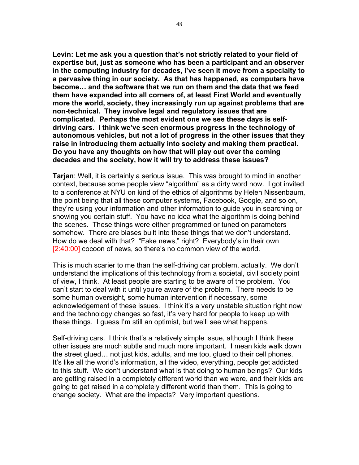**Levin: Let me ask you a question that's not strictly related to your field of expertise but, just as someone who has been a participant and an observer in the computing industry for decades, I've seen it move from a specialty to a pervasive thing in our society. As that has happened, as computers have become… and the software that we run on them and the data that we feed them have expanded into all corners of, at least First World and eventually more the world, society, they increasingly run up against problems that are non-technical. They involve legal and regulatory issues that are complicated. Perhaps the most evident one we see these days is selfdriving cars. I think we've seen enormous progress in the technology of autonomous vehicles, but not a lot of progress in the other issues that they raise in introducing them actually into society and making them practical. Do you have any thoughts on how that will play out over the coming decades and the society, how it will try to address these issues?**

**Tarjan**: Well, it is certainly a serious issue. This was brought to mind in another context, because some people view "algorithm" as a dirty word now. I got invited to a conference at NYU on kind of the ethics of algorithms by Helen Nissenbaum, the point being that all these computer systems, Facebook, Google, and so on, they're using your information and other information to guide you in searching or showing you certain stuff. You have no idea what the algorithm is doing behind the scenes. These things were either programmed or tuned on parameters somehow. There are biases built into these things that we don't understand. How do we deal with that? "Fake news," right? Everybody's in their own [2:40:00] cocoon of news, so there's no common view of the world.

This is much scarier to me than the self-driving car problem, actually. We don't understand the implications of this technology from a societal, civil society point of view, I think. At least people are starting to be aware of the problem. You can't start to deal with it until you're aware of the problem. There needs to be some human oversight, some human intervention if necessary, some acknowledgement of these issues. I think it's a very unstable situation right now and the technology changes so fast, it's very hard for people to keep up with these things. I guess I'm still an optimist, but we'll see what happens.

Self-driving cars. I think that's a relatively simple issue, although I think these other issues are much subtle and much more important. I mean kids walk down the street glued… not just kids, adults, and me too, glued to their cell phones. It's like all the world's information, all the video, everything, people get addicted to this stuff. We don't understand what is that doing to human beings? Our kids are getting raised in a completely different world than we were, and their kids are going to get raised in a completely different world than them. This is going to change society. What are the impacts? Very important questions.